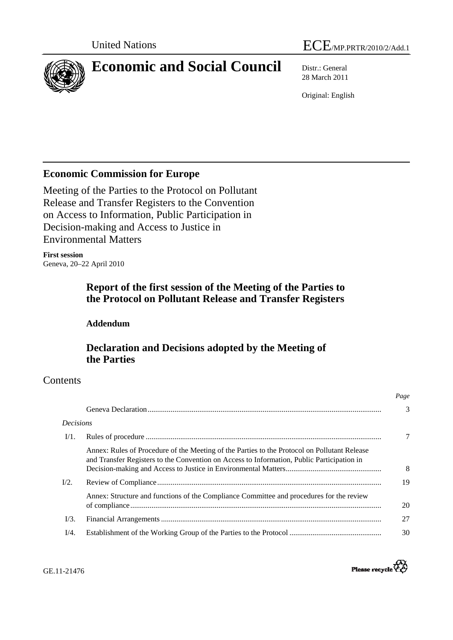

28 March 2011

Original: English

# **Economic Commission for Europe**

Meeting of the Parties to the Protocol on Pollutant Release and Transfer Registers to the Convention on Access to Information, Public Participation in Decision-making and Access to Justice in Environmental Matters

**First session**  Geneva, 20–22 April 2010

# **Report of the first session of the Meeting of the Parties to the Protocol on Pollutant Release and Transfer Registers**

# **Addendum**

# **Declaration and Decisions adopted by the Meeting of the Parties**

# **Contents**

| <b>Decisions</b> |                                                                                                                                                                                            |
|------------------|--------------------------------------------------------------------------------------------------------------------------------------------------------------------------------------------|
| $V1$ .           |                                                                                                                                                                                            |
|                  | Annex: Rules of Procedure of the Meeting of the Parties to the Protocol on Pollutant Release<br>and Transfer Registers to the Convention on Access to Information, Public Participation in |
| $I/2$ .          |                                                                                                                                                                                            |
|                  | Annex: Structure and functions of the Compliance Committee and procedures for the review                                                                                                   |
| $I/3$ .          |                                                                                                                                                                                            |
| I/4.             |                                                                                                                                                                                            |



*Page*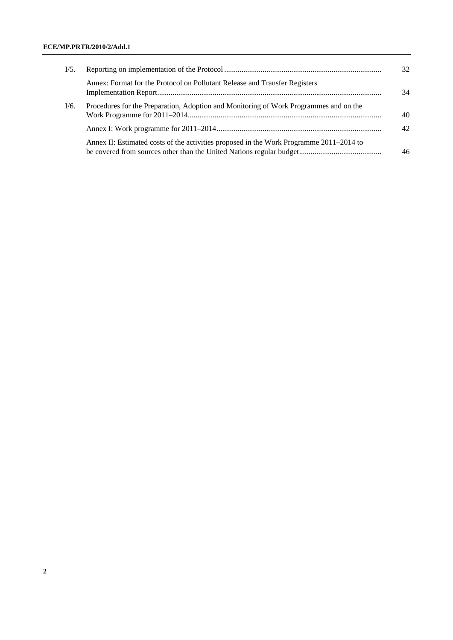## **ECE/MP.PRTR/2010/2/Add.1**

| I/5. |                                                                                         | 32.             |
|------|-----------------------------------------------------------------------------------------|-----------------|
|      | Annex: Format for the Protocol on Pollutant Release and Transfer Registers              | 34              |
| I/6. | Procedures for the Preparation, Adoption and Monitoring of Work Programmes and on the   | 40              |
|      |                                                                                         | 42 <sub>1</sub> |
|      | Annex II: Estimated costs of the activities proposed in the Work Programme 2011–2014 to | 46              |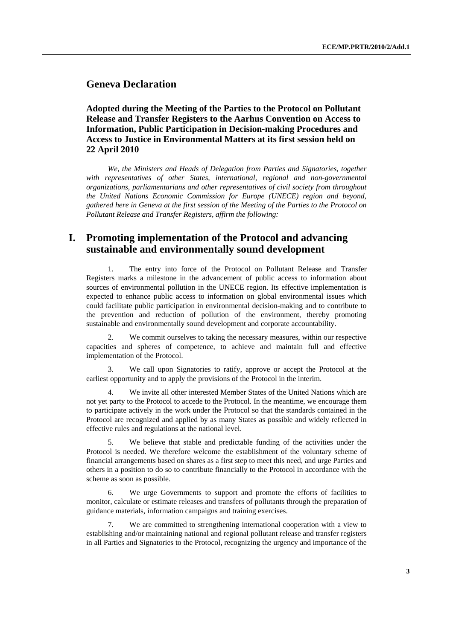# **Geneva Declaration**

 **Adopted during the Meeting of the Parties to the Protocol on Pollutant Release and Transfer Registers to the Aarhus Convention on Access to Information, Public Participation in Decision-making Procedures and Access to Justice in Environmental Matters at its first session held on 22 April 2010** 

 *We, the Ministers and Heads of Delegation from Parties and Signatories, together with representatives of other States, international, regional and non-governmental organizations, parliamentarians and other representatives of civil society from throughout the United Nations Economic Commission for Europe (UNECE) region and beyond, gathered here in Geneva at the first session of the Meeting of the Parties to the Protocol on Pollutant Release and Transfer Registers, affirm the following:* 

# **I. Promoting implementation of the Protocol and advancing sustainable and environmentally sound development**

 1. The entry into force of the Protocol on Pollutant Release and Transfer Registers marks a milestone in the advancement of public access to information about sources of environmental pollution in the UNECE region. Its effective implementation is expected to enhance public access to information on global environmental issues which could facilitate public participation in environmental decision-making and to contribute to the prevention and reduction of pollution of the environment, thereby promoting sustainable and environmentally sound development and corporate accountability.

We commit ourselves to taking the necessary measures, within our respective capacities and spheres of competence, to achieve and maintain full and effective implementation of the Protocol.

We call upon Signatories to ratify, approve or accept the Protocol at the earliest opportunity and to apply the provisions of the Protocol in the interim.

 4. We invite all other interested Member States of the United Nations which are not yet party to the Protocol to accede to the Protocol. In the meantime, we encourage them to participate actively in the work under the Protocol so that the standards contained in the Protocol are recognized and applied by as many States as possible and widely reflected in effective rules and regulations at the national level.

We believe that stable and predictable funding of the activities under the Protocol is needed. We therefore welcome the establishment of the voluntary scheme of financial arrangements based on shares as a first step to meet this need, and urge Parties and others in a position to do so to contribute financially to the Protocol in accordance with the scheme as soon as possible.

We urge Governments to support and promote the efforts of facilities to monitor, calculate or estimate releases and transfers of pollutants through the preparation of guidance materials, information campaigns and training exercises.

We are committed to strengthening international cooperation with a view to establishing and/or maintaining national and regional pollutant release and transfer registers in all Parties and Signatories to the Protocol, recognizing the urgency and importance of the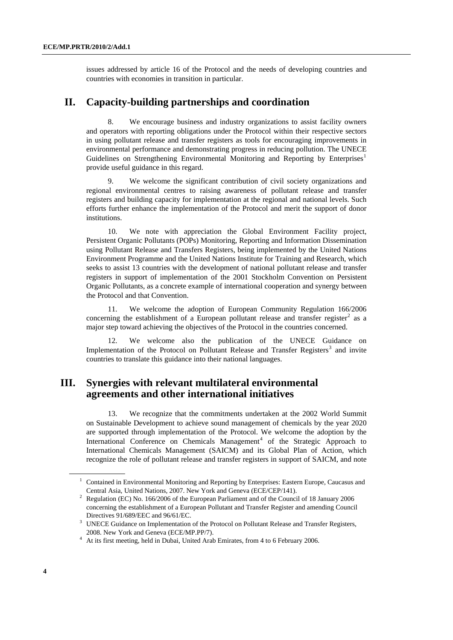<span id="page-3-0"></span>issues addressed by article 16 of the Protocol and the needs of developing countries and countries with economies in transition in particular.

# **II. Capacity-building partnerships and coordination**

 8. We encourage business and industry organizations to assist facility owners and operators with reporting obligations under the Protocol within their respective sectors in using pollutant release and transfer registers as tools for encouraging improvements in environmental performance and demonstrating progress in reducing pollution. The UNECE Guidelines on Strengthening Environmental Monitoring and Reporting by Enterprises<sup>[1](#page-3-0)</sup> provide useful guidance in this regard.

 9. We welcome the significant contribution of civil society organizations and regional environmental centres to raising awareness of pollutant release and transfer registers and building capacity for implementation at the regional and national levels. Such efforts further enhance the implementation of the Protocol and merit the support of donor institutions.

 10. We note with appreciation the Global Environment Facility project, Persistent Organic Pollutants (POPs) Monitoring, Reporting and Information Dissemination using Pollutant Release and Transfers Registers, being implemented by the United Nations Environment Programme and the United Nations Institute for Training and Research, which seeks to assist 13 countries with the development of national pollutant release and transfer registers in support of implementation of the 2001 Stockholm Convention on Persistent Organic Pollutants, as a concrete example of international cooperation and synergy between the Protocol and that Convention.

 11. We welcome the adoption of European Community Regulation 166/2006 concerning the establishment of a European pollutant release and transfer register<sup>[2](#page-3-0)</sup> as a major step toward achieving the objectives of the Protocol in the countries concerned.

We welcome also the publication of the UNECE Guidance on Implementation of the Protocol on Pollutant Release and Transfer Registers<sup>[3](#page-3-0)</sup> and invite countries to translate this guidance into their national languages.

# **III. Synergies with relevant multilateral environmental agreements and other international initiatives**

 13. We recognize that the commitments undertaken at the 2002 World Summit on Sustainable Development to achieve sound management of chemicals by the year 2020 are supported through implementation of the Protocol. We welcome the adoption by the International Conference on Chemicals Management<sup>[4](#page-3-0)</sup> of the Strategic Approach to International Chemicals Management (SAICM) and its Global Plan of Action, which recognize the role of pollutant release and transfer registers in support of SAICM, and note

<sup>&</sup>lt;sup>1</sup> Contained in Environmental Monitoring and Reporting by Enterprises: Eastern Europe, Caucasus and Central Asia, United Nations, 2007. New York and Geneva (ECE/CEP/141). 2

<sup>&</sup>lt;sup>2</sup> Regulation (EC) No. 166/2006 of the European Parliament and of the Council of 18 January 2006 concerning the establishment of a European Pollutant and Transfer Register and amending Council Directives 91/689/EEC and 96/61/EC.<br><sup>3</sup> UNECE Guidance on Implementation of the Protocol on Pollutant Release and Transfer Registers,

<sup>2008.</sup> New York and Geneva (ECE/MP.PP/7).<br>
<sup>4</sup> At its first meeting, held in Dubai, United Arab Emirates, from 4 to 6 February 2006.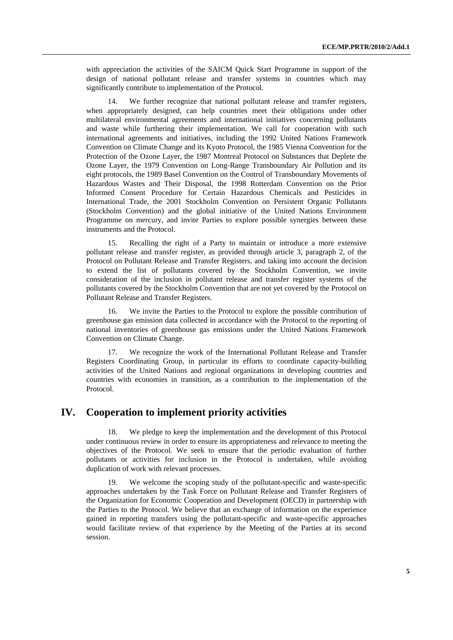with appreciation the activities of the SAICM Quick Start Programme in support of the design of national pollutant release and transfer systems in countries which may significantly contribute to implementation of the Protocol.

We further recognize that national pollutant release and transfer registers, when appropriately designed, can help countries meet their obligations under other multilateral environmental agreements and international initiatives concerning pollutants and waste while furthering their implementation. We call for cooperation with such international agreements and initiatives, including the 1992 United Nations Framework Convention on Climate Change and its Kyoto Protocol, the 1985 Vienna Convention for the Protection of the Ozone Layer, the 1987 Montreal Protocol on Substances that Deplete the Ozone Layer, the 1979 Convention on Long-Range Transboundary Air Pollution and its eight protocols, the 1989 Basel Convention on the Control of Transboundary Movements of Hazardous Wastes and Their Disposal, the 1998 Rotterdam Convention on the Prior Informed Consent Procedure for Certain Hazardous Chemicals and Pesticides in International Trade, the 2001 Stockholm Convention on Persistent Organic Pollutants (Stockholm Convention) and the global initiative of the United Nations Environment Programme on mercury, and invite Parties to explore possible synergies between these instruments and the Protocol.

 15. Recalling the right of a Party to maintain or introduce a more extensive pollutant release and transfer register, as provided through article 3, paragraph 2, of the Protocol on Pollutant Release and Transfer Registers, and taking into account the decision to extend the list of pollutants covered by the Stockholm Convention, we invite consideration of the inclusion in pollutant release and transfer register systems of the pollutants covered by the Stockholm Convention that are not yet covered by the Protocol on Pollutant Release and Transfer Registers.

 16. We invite the Parties to the Protocol to explore the possible contribution of greenhouse gas emission data collected in accordance with the Protocol to the reporting of national inventories of greenhouse gas emissions under the United Nations Framework Convention on Climate Change.

 17. We recognize the work of the International Pollutant Release and Transfer Registers Coordinating Group, in particular its efforts to coordinate capacity-building activities of the United Nations and regional organizations in developing countries and countries with economies in transition, as a contribution to the implementation of the Protocol.

## **IV. Cooperation to implement priority activities**

 18. We pledge to keep the implementation and the development of this Protocol under continuous review in order to ensure its appropriateness and relevance to meeting the objectives of the Protocol. We seek to ensure that the periodic evaluation of further pollutants or activities for inclusion in the Protocol is undertaken, while avoiding duplication of work with relevant processes.

 19. We welcome the scoping study of the pollutant-specific and waste-specific approaches undertaken by the Task Force on Pollutant Release and Transfer Registers of the Organization for Economic Cooperation and Development (OECD) in partnership with the Parties to the Protocol. We believe that an exchange of information on the experience gained in reporting transfers using the pollutant-specific and waste-specific approaches would facilitate review of that experience by the Meeting of the Parties at its second session.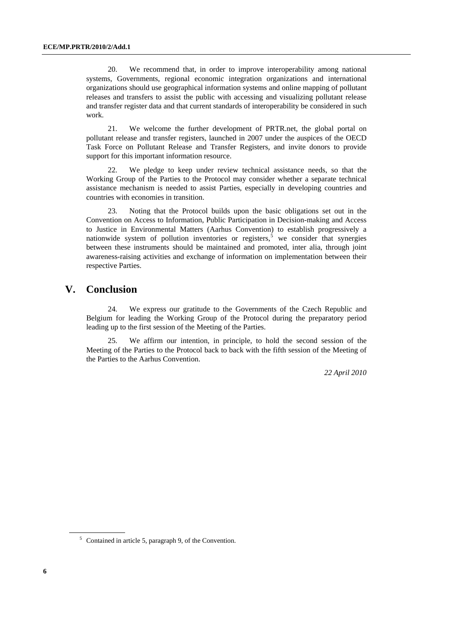<span id="page-5-0"></span> 20. We recommend that, in order to improve interoperability among national systems, Governments, regional economic integration organizations and international organizations should use geographical information systems and online mapping of pollutant releases and transfers to assist the public with accessing and visualizing pollutant release and transfer register data and that current standards of interoperability be considered in such work.

 21. We welcome the further development of PRTR.net, the global portal on pollutant release and transfer registers, launched in 2007 under the auspices of the OECD Task Force on Pollutant Release and Transfer Registers, and invite donors to provide support for this important information resource.

 22. We pledge to keep under review technical assistance needs, so that the Working Group of the Parties to the Protocol may consider whether a separate technical assistance mechanism is needed to assist Parties, especially in developing countries and countries with economies in transition.

 23. Noting that the Protocol builds upon the basic obligations set out in the Convention on Access to Information, Public Participation in Decision-making and Access to Justice in Environmental Matters (Aarhus Convention) to establish progressively a nationwide system of pollution inventories or registers,<sup>[5](#page-5-0)</sup> we consider that synergies between these instruments should be maintained and promoted, inter alia, through joint awareness-raising activities and exchange of information on implementation between their respective Parties.

# **V. Conclusion**

 24. We express our gratitude to the Governments of the Czech Republic and Belgium for leading the Working Group of the Protocol during the preparatory period leading up to the first session of the Meeting of the Parties.

We affirm our intention, in principle, to hold the second session of the Meeting of the Parties to the Protocol back to back with the fifth session of the Meeting of the Parties to the Aarhus Convention.

*22 April 2010* 

<sup>5</sup> Contained in article 5, paragraph 9, of the Convention.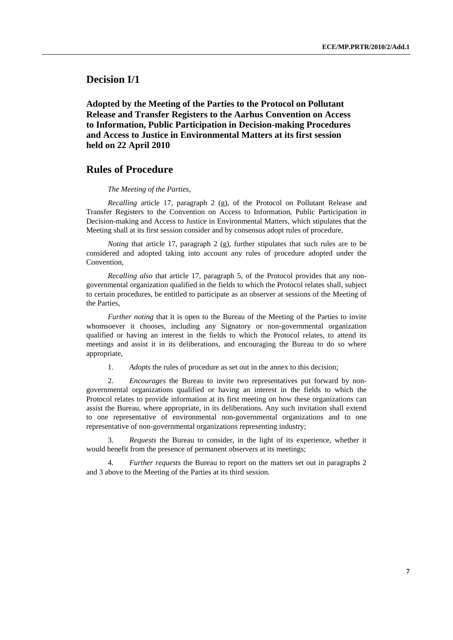**Decision I/1** 

 **Adopted by the Meeting of the Parties to the Protocol on Pollutant Release and Transfer Registers to the Aarhus Convention on Access to Information, Public Participation in Decision-making Procedures and Access to Justice in Environmental Matters at its first session held on 22 April 2010** 

## **Rules of Procedure**

#### *The Meeting of the Parties,*

 *Recalling* article 17, paragraph 2 (g), of the Protocol on Pollutant Release and Transfer Registers to the Convention on Access to Information, Public Participation in Decision-making and Access to Justice in Environmental Matters, which stipulates that the Meeting shall at its first session consider and by consensus adopt rules of procedure,

*Noting* that article 17, paragraph 2 (g), further stipulates that such rules are to be considered and adopted taking into account any rules of procedure adopted under the Convention,

 *Recalling also* that article 17, paragraph 5, of the Protocol provides that any nongovernmental organization qualified in the fields to which the Protocol relates shall, subject to certain procedures, be entitled to participate as an observer at sessions of the Meeting of the Parties,

*Further noting* that it is open to the Bureau of the Meeting of the Parties to invite whomsoever it chooses, including any Signatory or non-governmental organization qualified or having an interest in the fields to which the Protocol relates, to attend its meetings and assist it in its deliberations, and encouraging the Bureau to do so where appropriate,

1. *Adopts* the rules of procedure as set out in the annex to this decision;

2. *Encourages* the Bureau to invite two representatives put forward by nongovernmental organizations qualified or having an interest in the fields to which the Protocol relates to provide information at its first meeting on how these organizations can assist the Bureau, where appropriate, in its deliberations. Any such invitation shall extend to one representative of environmental non-governmental organizations and to one representative of non-governmental organizations representing industry;

3. *Requests* the Bureau to consider, in the light of its experience, whether it would benefit from the presence of permanent observers at its meetings;

4. *Further requests* the Bureau to report on the matters set out in paragraphs 2 and 3 above to the Meeting of the Parties at its third session.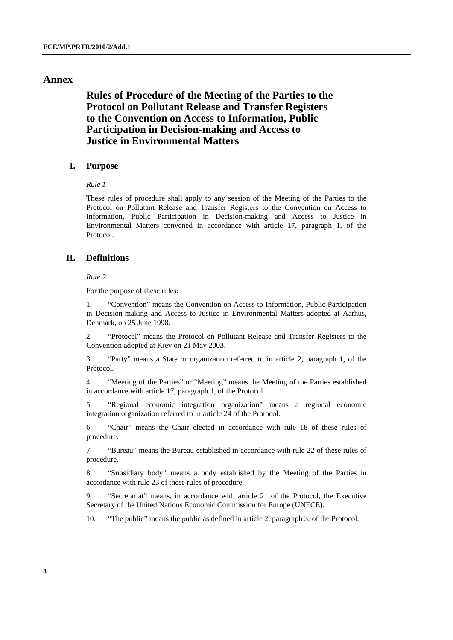## **Annex**

# **Rules of Procedure of the Meeting of the Parties to the Protocol on Pollutant Release and Transfer Registers to the Convention on Access to Information, Public Participation in Decision-making and Access to Justice in Environmental Matters**

## **I. Purpose**

#### *Rule 1*

These rules of procedure shall apply to any session of the Meeting of the Parties to the Protocol on Pollutant Release and Transfer Registers to the Convention on Access to Information, Public Participation in Decision-making and Access to Justice in Environmental Matters convened in accordance with article 17, paragraph 1, of the Protocol.

## **II. Definitions**

#### *Rule 2*

For the purpose of these rules:

1. "Convention" means the Convention on Access to Information, Public Participation in Decision-making and Access to Justice in Environmental Matters adopted at Aarhus, Denmark, on 25 June 1998.

2. "Protocol" means the Protocol on Pollutant Release and Transfer Registers to the Convention adopted at Kiev on 21 May 2003.

3. "Party" means a State or organization referred to in article 2, paragraph 1, of the Protocol.

4. "Meeting of the Parties" or "Meeting" means the Meeting of the Parties established in accordance with article 17, paragraph 1, of the Protocol.

5. "Regional economic integration organization" means a regional economic integration organization referred to in article 24 of the Protocol.

6. "Chair" means the Chair elected in accordance with rule 18 of these rules of procedure.

7. "Bureau" means the Bureau established in accordance with rule 22 of these rules of procedure.

8. "Subsidiary body" means a body established by the Meeting of the Parties in accordance with rule 23 of these rules of procedure.

9. "Secretariat" means, in accordance with article 21 of the Protocol, the Executive Secretary of the United Nations Economic Commission for Europe (UNECE).

10. "The public" means the public as defined in article 2, paragraph 3, of the Protocol.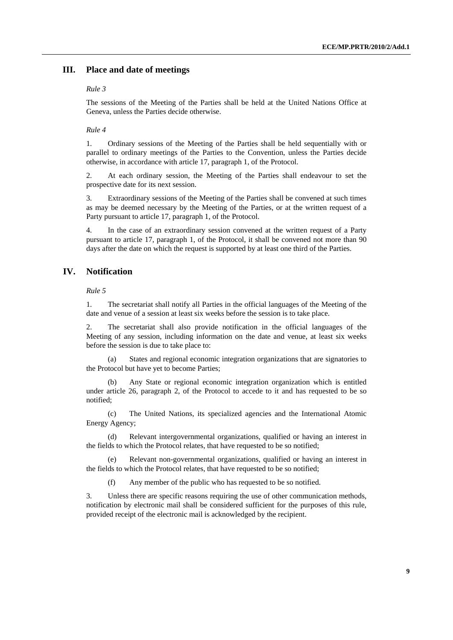## **III. Place and date of meetings**

#### *Rule 3*

The sessions of the Meeting of the Parties shall be held at the United Nations Office at Geneva, unless the Parties decide otherwise.

#### *Rule 4*

1. Ordinary sessions of the Meeting of the Parties shall be held sequentially with or parallel to ordinary meetings of the Parties to the Convention, unless the Parties decide otherwise, in accordance with article 17, paragraph 1, of the Protocol.

2. At each ordinary session, the Meeting of the Parties shall endeavour to set the prospective date for its next session.

3. Extraordinary sessions of the Meeting of the Parties shall be convened at such times as may be deemed necessary by the Meeting of the Parties, or at the written request of a Party pursuant to article 17, paragraph 1, of the Protocol.

4. In the case of an extraordinary session convened at the written request of a Party pursuant to article 17, paragraph 1, of the Protocol, it shall be convened not more than 90 days after the date on which the request is supported by at least one third of the Parties.

## **IV. Notification**

 *Rule 5* 

1. The secretariat shall notify all Parties in the official languages of the Meeting of the date and venue of a session at least six weeks before the session is to take place.

2. The secretariat shall also provide notification in the official languages of the Meeting of any session, including information on the date and venue, at least six weeks before the session is due to take place to:

 (a) States and regional economic integration organizations that are signatories to the Protocol but have yet to become Parties;

 (b) Any State or regional economic integration organization which is entitled under article 26, paragraph 2, of the Protocol to accede to it and has requested to be so notified;

 (c) The United Nations, its specialized agencies and the International Atomic Energy Agency;

 (d) Relevant intergovernmental organizations, qualified or having an interest in the fields to which the Protocol relates, that have requested to be so notified;

 (e) Relevant non-governmental organizations, qualified or having an interest in the fields to which the Protocol relates, that have requested to be so notified;

(f) Any member of the public who has requested to be so notified.

3. Unless there are specific reasons requiring the use of other communication methods, notification by electronic mail shall be considered sufficient for the purposes of this rule, provided receipt of the electronic mail is acknowledged by the recipient.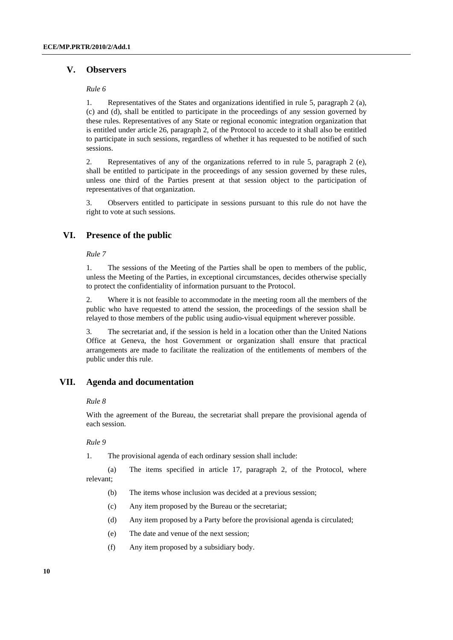## **V. Observers**

#### *Rule 6*

1. Representatives of the States and organizations identified in rule 5, paragraph 2 (a), (c) and (d), shall be entitled to participate in the proceedings of any session governed by these rules. Representatives of any State or regional economic integration organization that is entitled under article 26, paragraph 2, of the Protocol to accede to it shall also be entitled to participate in such sessions, regardless of whether it has requested to be notified of such sessions.

2. Representatives of any of the organizations referred to in rule 5, paragraph 2 (e), shall be entitled to participate in the proceedings of any session governed by these rules, unless one third of the Parties present at that session object to the participation of representatives of that organization.

3. Observers entitled to participate in sessions pursuant to this rule do not have the right to vote at such sessions.

## **VI. Presence of the public**

## *Rule 7*

1. The sessions of the Meeting of the Parties shall be open to members of the public, unless the Meeting of the Parties, in exceptional circumstances, decides otherwise specially to protect the confidentiality of information pursuant to the Protocol.

2. Where it is not feasible to accommodate in the meeting room all the members of the public who have requested to attend the session, the proceedings of the session shall be relayed to those members of the public using audio-visual equipment wherever possible.

3. The secretariat and, if the session is held in a location other than the United Nations Office at Geneva, the host Government or organization shall ensure that practical arrangements are made to facilitate the realization of the entitlements of members of the public under this rule.

## **VII. Agenda and documentation**

#### *Rule 8*

With the agreement of the Bureau, the secretariat shall prepare the provisional agenda of each session.

#### *Rule 9*

1. The provisional agenda of each ordinary session shall include:

 (a) The items specified in article 17, paragraph 2, of the Protocol, where relevant;

- (b) The items whose inclusion was decided at a previous session;
- (c) Any item proposed by the Bureau or the secretariat;
- (d) Any item proposed by a Party before the provisional agenda is circulated;
- (e) The date and venue of the next session;
- (f) Any item proposed by a subsidiary body.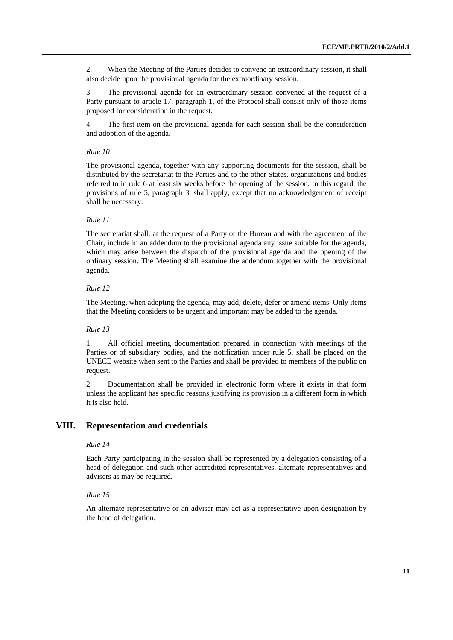2. When the Meeting of the Parties decides to convene an extraordinary session, it shall also decide upon the provisional agenda for the extraordinary session.

3. The provisional agenda for an extraordinary session convened at the request of a Party pursuant to article 17, paragraph 1, of the Protocol shall consist only of those items proposed for consideration in the request.

4. The first item on the provisional agenda for each session shall be the consideration and adoption of the agenda.

#### *Rule 10*

The provisional agenda, together with any supporting documents for the session, shall be distributed by the secretariat to the Parties and to the other States, organizations and bodies referred to in rule 6 at least six weeks before the opening of the session. In this regard, the provisions of rule 5, paragraph 3, shall apply, except that no acknowledgement of receipt shall be necessary.

## *Rule 11*

The secretariat shall, at the request of a Party or the Bureau and with the agreement of the Chair, include in an addendum to the provisional agenda any issue suitable for the agenda, which may arise between the dispatch of the provisional agenda and the opening of the ordinary session. The Meeting shall examine the addendum together with the provisional agenda.

#### *Rule 12*

The Meeting, when adopting the agenda, may add, delete, defer or amend items. Only items that the Meeting considers to be urgent and important may be added to the agenda.

## *Rule 13*

1. All official meeting documentation prepared in connection with meetings of the Parties or of subsidiary bodies, and the notification under rule 5, shall be placed on the UNECE website when sent to the Parties and shall be provided to members of the public on request.

2. Documentation shall be provided in electronic form where it exists in that form unless the applicant has specific reasons justifying its provision in a different form in which it is also held.

## **VIII. Representation and credentials**

#### *Rule 14*

Each Party participating in the session shall be represented by a delegation consisting of a head of delegation and such other accredited representatives, alternate representatives and advisers as may be required.

#### *Rule 15*

An alternate representative or an adviser may act as a representative upon designation by the head of delegation.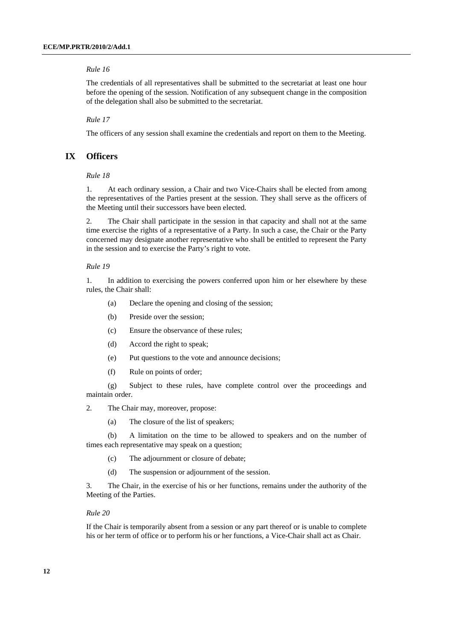The credentials of all representatives shall be submitted to the secretariat at least one hour before the opening of the session. Notification of any subsequent change in the composition of the delegation shall also be submitted to the secretariat.

 *Rule 17* 

The officers of any session shall examine the credentials and report on them to the Meeting.

## **IX Officers**

 *Rule 18* 

1. At each ordinary session, a Chair and two Vice-Chairs shall be elected from among the representatives of the Parties present at the session. They shall serve as the officers of the Meeting until their successors have been elected.

2. The Chair shall participate in the session in that capacity and shall not at the same time exercise the rights of a representative of a Party. In such a case, the Chair or the Party concerned may designate another representative who shall be entitled to represent the Party in the session and to exercise the Party's right to vote.

#### *Rule 19*

1. In addition to exercising the powers conferred upon him or her elsewhere by these rules, the Chair shall:

- (a) Declare the opening and closing of the session;
- (b) Preside over the session;
- (c) Ensure the observance of these rules;
- (d) Accord the right to speak;
- (e) Put questions to the vote and announce decisions;
- (f) Rule on points of order;

 (g) Subject to these rules, have complete control over the proceedings and maintain order.

2. The Chair may, moreover, propose:

(a) The closure of the list of speakers;

 (b) A limitation on the time to be allowed to speakers and on the number of times each representative may speak on a question;

- (c) The adjournment or closure of debate;
- (d) The suspension or adjournment of the session.

3. The Chair, in the exercise of his or her functions, remains under the authority of the Meeting of the Parties.

#### *Rule 20*

If the Chair is temporarily absent from a session or any part thereof or is unable to complete his or her term of office or to perform his or her functions, a Vice-Chair shall act as Chair.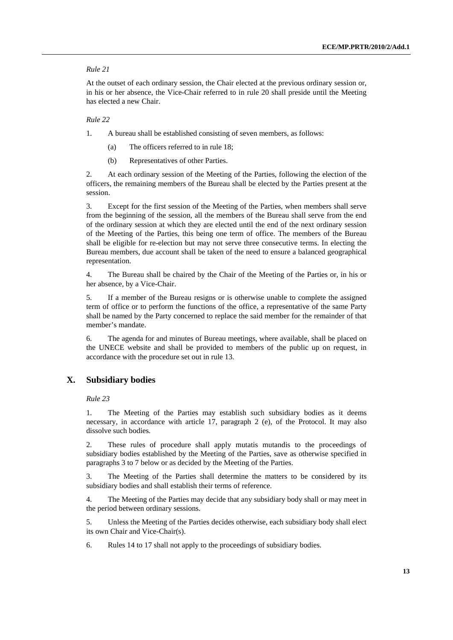At the outset of each ordinary session, the Chair elected at the previous ordinary session or, in his or her absence, the Vice-Chair referred to in rule 20 shall preside until the Meeting has elected a new Chair.

#### *Rule 22*

1. A bureau shall be established consisting of seven members, as follows:

- (a) The officers referred to in rule 18;
- (b) Representatives of other Parties.

2. At each ordinary session of the Meeting of the Parties, following the election of the officers, the remaining members of the Bureau shall be elected by the Parties present at the session.

3. Except for the first session of the Meeting of the Parties, when members shall serve from the beginning of the session, all the members of the Bureau shall serve from the end of the ordinary session at which they are elected until the end of the next ordinary session of the Meeting of the Parties, this being one term of office. The members of the Bureau shall be eligible for re-election but may not serve three consecutive terms. In electing the Bureau members, due account shall be taken of the need to ensure a balanced geographical representation.

4. The Bureau shall be chaired by the Chair of the Meeting of the Parties or, in his or her absence, by a Vice-Chair.

5. If a member of the Bureau resigns or is otherwise unable to complete the assigned term of office or to perform the functions of the office, a representative of the same Party shall be named by the Party concerned to replace the said member for the remainder of that member's mandate.

6. The agenda for and minutes of Bureau meetings, where available, shall be placed on the UNECE website and shall be provided to members of the public up on request, in accordance with the procedure set out in rule 13.

## **X. Subsidiary bodies**

 *Rule 23* 

1. The Meeting of the Parties may establish such subsidiary bodies as it deems necessary, in accordance with article 17, paragraph 2 (e), of the Protocol. It may also dissolve such bodies.

2. These rules of procedure shall apply mutatis mutandis to the proceedings of subsidiary bodies established by the Meeting of the Parties, save as otherwise specified in paragraphs 3 to 7 below or as decided by the Meeting of the Parties.

3. The Meeting of the Parties shall determine the matters to be considered by its subsidiary bodies and shall establish their terms of reference.

4. The Meeting of the Parties may decide that any subsidiary body shall or may meet in the period between ordinary sessions.

5. Unless the Meeting of the Parties decides otherwise, each subsidiary body shall elect its own Chair and Vice-Chair(s).

6. Rules 14 to 17 shall not apply to the proceedings of subsidiary bodies.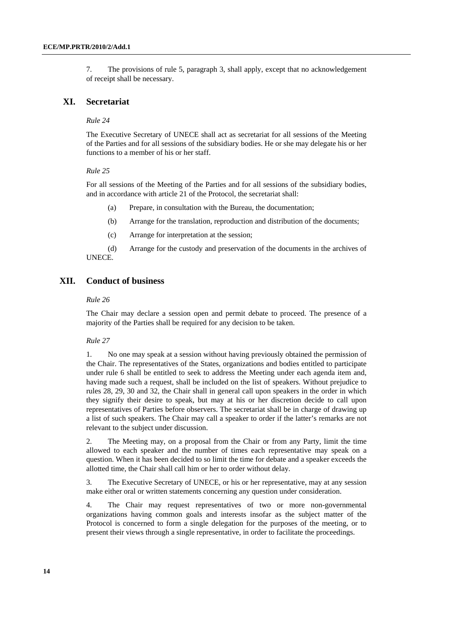7. The provisions of rule 5, paragraph 3, shall apply, except that no acknowledgement of receipt shall be necessary.

## **XI. Secretariat**

### *Rule 24*

The Executive Secretary of UNECE shall act as secretariat for all sessions of the Meeting of the Parties and for all sessions of the subsidiary bodies. He or she may delegate his or her functions to a member of his or her staff.

#### *Rule 25*

For all sessions of the Meeting of the Parties and for all sessions of the subsidiary bodies, and in accordance with article 21 of the Protocol, the secretariat shall:

- (a) Prepare, in consultation with the Bureau, the documentation;
- (b) Arrange for the translation, reproduction and distribution of the documents;
- (c) Arrange for interpretation at the session;

 (d) Arrange for the custody and preservation of the documents in the archives of UNECE.

## **XII. Conduct of business**

#### *Rule 26*

The Chair may declare a session open and permit debate to proceed. The presence of a majority of the Parties shall be required for any decision to be taken.

#### *Rule 27*

1. No one may speak at a session without having previously obtained the permission of the Chair. The representatives of the States, organizations and bodies entitled to participate under rule 6 shall be entitled to seek to address the Meeting under each agenda item and, having made such a request, shall be included on the list of speakers. Without prejudice to rules 28, 29, 30 and 32, the Chair shall in general call upon speakers in the order in which they signify their desire to speak, but may at his or her discretion decide to call upon representatives of Parties before observers. The secretariat shall be in charge of drawing up a list of such speakers. The Chair may call a speaker to order if the latter's remarks are not relevant to the subject under discussion.

2. The Meeting may, on a proposal from the Chair or from any Party, limit the time allowed to each speaker and the number of times each representative may speak on a question. When it has been decided to so limit the time for debate and a speaker exceeds the allotted time, the Chair shall call him or her to order without delay.

3. The Executive Secretary of UNECE, or his or her representative, may at any session make either oral or written statements concerning any question under consideration.

4. The Chair may request representatives of two or more non-governmental organizations having common goals and interests insofar as the subject matter of the Protocol is concerned to form a single delegation for the purposes of the meeting, or to present their views through a single representative, in order to facilitate the proceedings.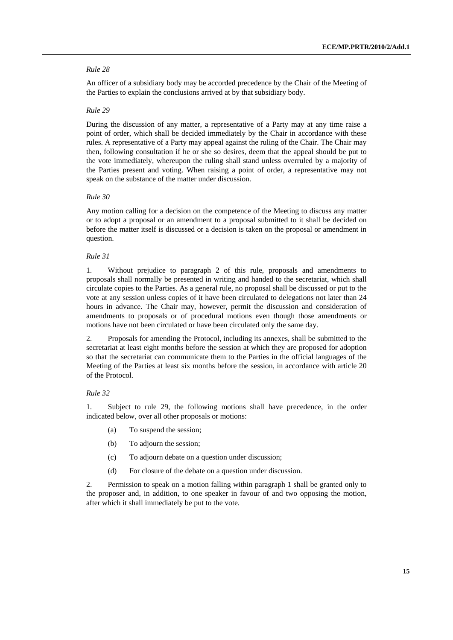An officer of a subsidiary body may be accorded precedence by the Chair of the Meeting of the Parties to explain the conclusions arrived at by that subsidiary body.

### *Rule 29*

During the discussion of any matter, a representative of a Party may at any time raise a point of order, which shall be decided immediately by the Chair in accordance with these rules. A representative of a Party may appeal against the ruling of the Chair. The Chair may then, following consultation if he or she so desires, deem that the appeal should be put to the vote immediately, whereupon the ruling shall stand unless overruled by a majority of the Parties present and voting. When raising a point of order, a representative may not speak on the substance of the matter under discussion.

#### *Rule 30*

Any motion calling for a decision on the competence of the Meeting to discuss any matter or to adopt a proposal or an amendment to a proposal submitted to it shall be decided on before the matter itself is discussed or a decision is taken on the proposal or amendment in question.

### *Rule 31*

1. Without prejudice to paragraph 2 of this rule, proposals and amendments to proposals shall normally be presented in writing and handed to the secretariat, which shall circulate copies to the Parties. As a general rule, no proposal shall be discussed or put to the vote at any session unless copies of it have been circulated to delegations not later than 24 hours in advance. The Chair may, however, permit the discussion and consideration of amendments to proposals or of procedural motions even though those amendments or motions have not been circulated or have been circulated only the same day.

2. Proposals for amending the Protocol, including its annexes, shall be submitted to the secretariat at least eight months before the session at which they are proposed for adoption so that the secretariat can communicate them to the Parties in the official languages of the Meeting of the Parties at least six months before the session, in accordance with article 20 of the Protocol.

## *Rule 32*

1. Subject to rule 29, the following motions shall have precedence, in the order indicated below, over all other proposals or motions:

- (a) To suspend the session;
- (b) To adjourn the session;
- (c) To adjourn debate on a question under discussion;
- (d) For closure of the debate on a question under discussion.

2. Permission to speak on a motion falling within paragraph 1 shall be granted only to the proposer and, in addition, to one speaker in favour of and two opposing the motion, after which it shall immediately be put to the vote.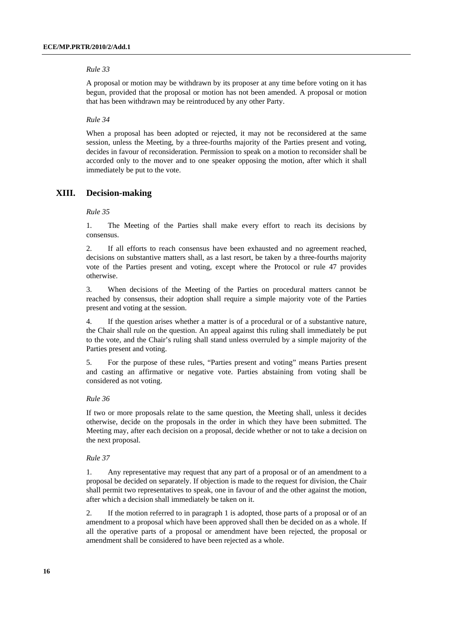A proposal or motion may be withdrawn by its proposer at any time before voting on it has begun, provided that the proposal or motion has not been amended. A proposal or motion that has been withdrawn may be reintroduced by any other Party.

#### *Rule 34*

When a proposal has been adopted or rejected, it may not be reconsidered at the same session, unless the Meeting, by a three-fourths majority of the Parties present and voting, decides in favour of reconsideration. Permission to speak on a motion to reconsider shall be accorded only to the mover and to one speaker opposing the motion, after which it shall immediately be put to the vote.

#### **XIII. Decision-making**

#### *Rule 35*

1. The Meeting of the Parties shall make every effort to reach its decisions by consensus.

2. If all efforts to reach consensus have been exhausted and no agreement reached, decisions on substantive matters shall, as a last resort, be taken by a three-fourths majority vote of the Parties present and voting, except where the Protocol or rule 47 provides otherwise.

3. When decisions of the Meeting of the Parties on procedural matters cannot be reached by consensus, their adoption shall require a simple majority vote of the Parties present and voting at the session.

4. If the question arises whether a matter is of a procedural or of a substantive nature, the Chair shall rule on the question. An appeal against this ruling shall immediately be put to the vote, and the Chair's ruling shall stand unless overruled by a simple majority of the Parties present and voting.

5. For the purpose of these rules, "Parties present and voting" means Parties present and casting an affirmative or negative vote. Parties abstaining from voting shall be considered as not voting.

#### *Rule 36*

If two or more proposals relate to the same question, the Meeting shall, unless it decides otherwise, decide on the proposals in the order in which they have been submitted. The Meeting may, after each decision on a proposal, decide whether or not to take a decision on the next proposal.

#### *Rule 37*

1. Any representative may request that any part of a proposal or of an amendment to a proposal be decided on separately. If objection is made to the request for division, the Chair shall permit two representatives to speak, one in favour of and the other against the motion, after which a decision shall immediately be taken on it.

2. If the motion referred to in paragraph 1 is adopted, those parts of a proposal or of an amendment to a proposal which have been approved shall then be decided on as a whole. If all the operative parts of a proposal or amendment have been rejected, the proposal or amendment shall be considered to have been rejected as a whole.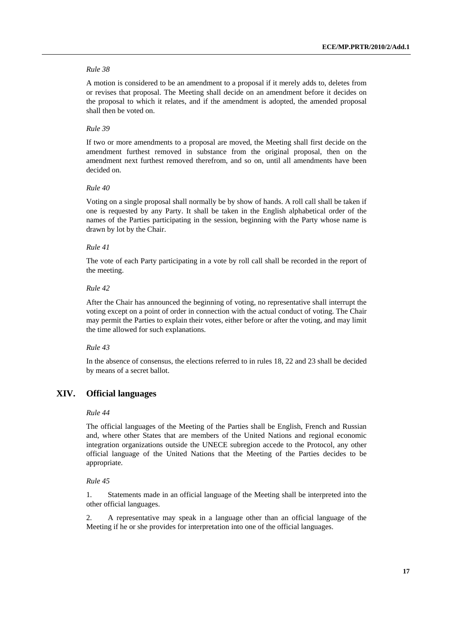A motion is considered to be an amendment to a proposal if it merely adds to, deletes from or revises that proposal. The Meeting shall decide on an amendment before it decides on the proposal to which it relates, and if the amendment is adopted, the amended proposal shall then be voted on.

## *Rule 39*

If two or more amendments to a proposal are moved, the Meeting shall first decide on the amendment furthest removed in substance from the original proposal, then on the amendment next furthest removed therefrom, and so on, until all amendments have been decided on.

#### *Rule 40*

Voting on a single proposal shall normally be by show of hands. A roll call shall be taken if one is requested by any Party. It shall be taken in the English alphabetical order of the names of the Parties participating in the session, beginning with the Party whose name is drawn by lot by the Chair.

#### *Rule 41*

The vote of each Party participating in a vote by roll call shall be recorded in the report of the meeting.

### *Rule 42*

After the Chair has announced the beginning of voting, no representative shall interrupt the voting except on a point of order in connection with the actual conduct of voting. The Chair may permit the Parties to explain their votes, either before or after the voting, and may limit the time allowed for such explanations.

#### *Rule 43*

In the absence of consensus, the elections referred to in rules 18, 22 and 23 shall be decided by means of a secret ballot.

## **XIV. Official languages**

### *Rule 44*

The official languages of the Meeting of the Parties shall be English, French and Russian and, where other States that are members of the United Nations and regional economic integration organizations outside the UNECE subregion accede to the Protocol, any other official language of the United Nations that the Meeting of the Parties decides to be appropriate.

#### *Rule 45*

1. Statements made in an official language of the Meeting shall be interpreted into the other official languages.

2. A representative may speak in a language other than an official language of the Meeting if he or she provides for interpretation into one of the official languages.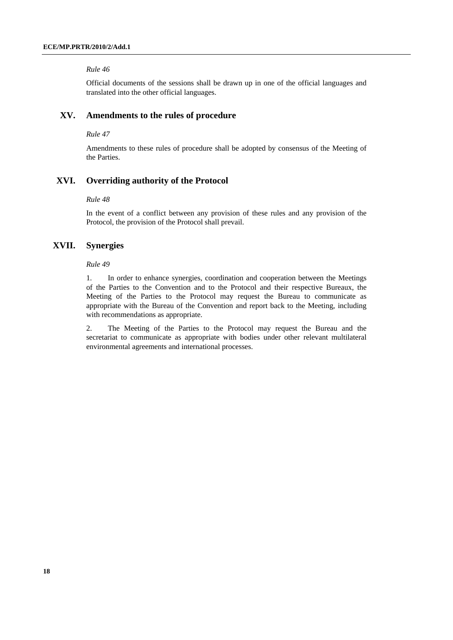Official documents of the sessions shall be drawn up in one of the official languages and translated into the other official languages.

## **XV. Amendments to the rules of procedure**

#### *Rule 47*

Amendments to these rules of procedure shall be adopted by consensus of the Meeting of the Parties.

## **XVI. Overriding authority of the Protocol**

#### *Rule 48*

In the event of a conflict between any provision of these rules and any provision of the Protocol, the provision of the Protocol shall prevail.

## **XVII. Synergies**

## *Rule 49*

1. In order to enhance synergies, coordination and cooperation between the Meetings of the Parties to the Convention and to the Protocol and their respective Bureaux, the Meeting of the Parties to the Protocol may request the Bureau to communicate as appropriate with the Bureau of the Convention and report back to the Meeting, including with recommendations as appropriate.

2. The Meeting of the Parties to the Protocol may request the Bureau and the secretariat to communicate as appropriate with bodies under other relevant multilateral environmental agreements and international processes.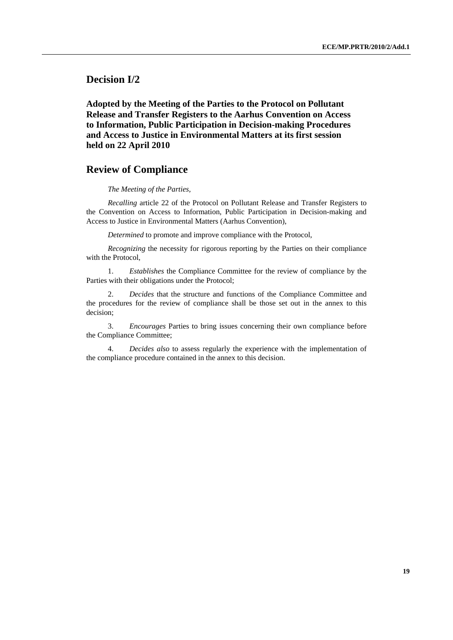**Decision I/2** 

 **Adopted by the Meeting of the Parties to the Protocol on Pollutant Release and Transfer Registers to the Aarhus Convention on Access to Information, Public Participation in Decision-making Procedures and Access to Justice in Environmental Matters at its first session held on 22 April 2010** 

## **Review of Compliance**

 *The Meeting of the Parties,* 

 *Recalling* article 22 of the Protocol on Pollutant Release and Transfer Registers to the Convention on Access to Information, Public Participation in Decision-making and Access to Justice in Environmental Matters (Aarhus Convention),

 *Determined* to promote and improve compliance with the Protocol,

*Recognizing* the necessity for rigorous reporting by the Parties on their compliance with the Protocol,

 1. *Establishes* the Compliance Committee for the review of compliance by the Parties with their obligations under the Protocol;

 2. *Decides* that the structure and functions of the Compliance Committee and the procedures for the review of compliance shall be those set out in the annex to this decision;

 3. *Encourages* Parties to bring issues concerning their own compliance before the Compliance Committee;

 4. *Decides also* to assess regularly the experience with the implementation of the compliance procedure contained in the annex to this decision.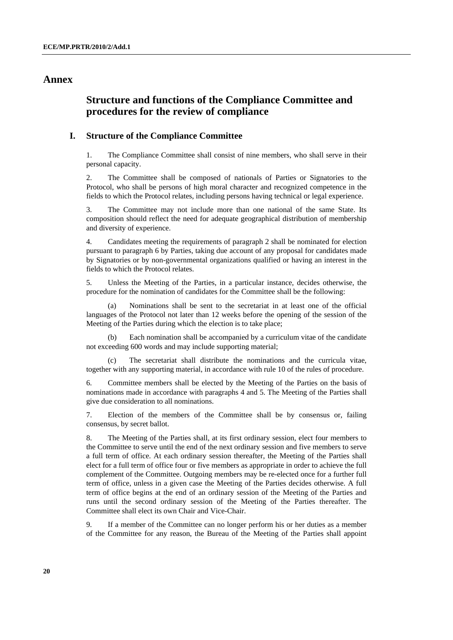## **Annex**

# **Structure and functions of the Compliance Committee and procedures for the review of compliance**

## **I. Structure of the Compliance Committee**

1. The Compliance Committee shall consist of nine members, who shall serve in their personal capacity.

2. The Committee shall be composed of nationals of Parties or Signatories to the Protocol, who shall be persons of high moral character and recognized competence in the fields to which the Protocol relates, including persons having technical or legal experience.

3. The Committee may not include more than one national of the same State. Its composition should reflect the need for adequate geographical distribution of membership and diversity of experience.

4. Candidates meeting the requirements of paragraph 2 shall be nominated for election pursuant to paragraph 6 by Parties, taking due account of any proposal for candidates made by Signatories or by non-governmental organizations qualified or having an interest in the fields to which the Protocol relates.

5. Unless the Meeting of the Parties, in a particular instance, decides otherwise, the procedure for the nomination of candidates for the Committee shall be the following:

Nominations shall be sent to the secretariat in at least one of the official languages of the Protocol not later than 12 weeks before the opening of the session of the Meeting of the Parties during which the election is to take place;

 (b) Each nomination shall be accompanied by a curriculum vitae of the candidate not exceeding 600 words and may include supporting material;

 (c) The secretariat shall distribute the nominations and the curricula vitae, together with any supporting material, in accordance with rule 10 of the rules of procedure.

6. Committee members shall be elected by the Meeting of the Parties on the basis of nominations made in accordance with paragraphs 4 and 5. The Meeting of the Parties shall give due consideration to all nominations.

7. Election of the members of the Committee shall be by consensus or, failing consensus, by secret ballot.

8. The Meeting of the Parties shall, at its first ordinary session, elect four members to the Committee to serve until the end of the next ordinary session and five members to serve a full term of office. At each ordinary session thereafter, the Meeting of the Parties shall elect for a full term of office four or five members as appropriate in order to achieve the full complement of the Committee. Outgoing members may be re-elected once for a further full term of office, unless in a given case the Meeting of the Parties decides otherwise. A full term of office begins at the end of an ordinary session of the Meeting of the Parties and runs until the second ordinary session of the Meeting of the Parties thereafter. The Committee shall elect its own Chair and Vice-Chair.

9. If a member of the Committee can no longer perform his or her duties as a member of the Committee for any reason, the Bureau of the Meeting of the Parties shall appoint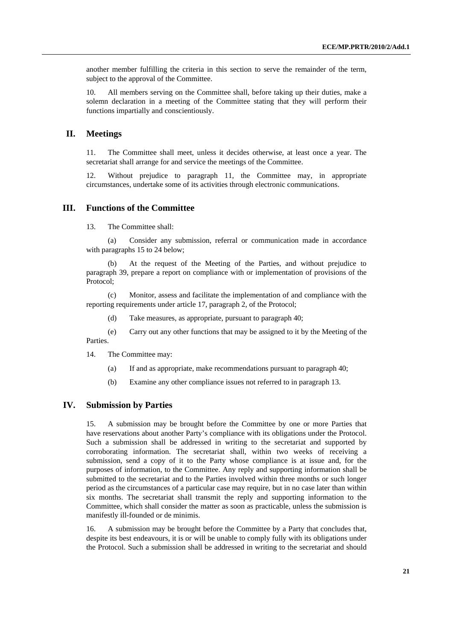another member fulfilling the criteria in this section to serve the remainder of the term, subject to the approval of the Committee.

10. All members serving on the Committee shall, before taking up their duties, make a solemn declaration in a meeting of the Committee stating that they will perform their functions impartially and conscientiously.

## **II. Meetings**

11. The Committee shall meet, unless it decides otherwise, at least once a year. The secretariat shall arrange for and service the meetings of the Committee.

12. Without prejudice to paragraph 11, the Committee may, in appropriate circumstances, undertake some of its activities through electronic communications.

## **III. Functions of the Committee**

13. The Committee shall:

 (a) Consider any submission, referral or communication made in accordance with paragraphs 15 to 24 below;

 (b) At the request of the Meeting of the Parties, and without prejudice to paragraph 39, prepare a report on compliance with or implementation of provisions of the Protocol;

 (c) Monitor, assess and facilitate the implementation of and compliance with the reporting requirements under article 17, paragraph 2, of the Protocol;

(d) Take measures, as appropriate, pursuant to paragraph 40;

 (e) Carry out any other functions that may be assigned to it by the Meeting of the Parties.

14. The Committee may:

- (a) If and as appropriate, make recommendations pursuant to paragraph 40;
- (b) Examine any other compliance issues not referred to in paragraph 13.

## **IV. Submission by Parties**

15. A submission may be brought before the Committee by one or more Parties that have reservations about another Party's compliance with its obligations under the Protocol. Such a submission shall be addressed in writing to the secretariat and supported by corroborating information. The secretariat shall, within two weeks of receiving a submission, send a copy of it to the Party whose compliance is at issue and, for the purposes of information, to the Committee. Any reply and supporting information shall be submitted to the secretariat and to the Parties involved within three months or such longer period as the circumstances of a particular case may require, but in no case later than within six months. The secretariat shall transmit the reply and supporting information to the Committee, which shall consider the matter as soon as practicable, unless the submission is manifestly ill-founded or de minimis.

16. A submission may be brought before the Committee by a Party that concludes that, despite its best endeavours, it is or will be unable to comply fully with its obligations under the Protocol. Such a submission shall be addressed in writing to the secretariat and should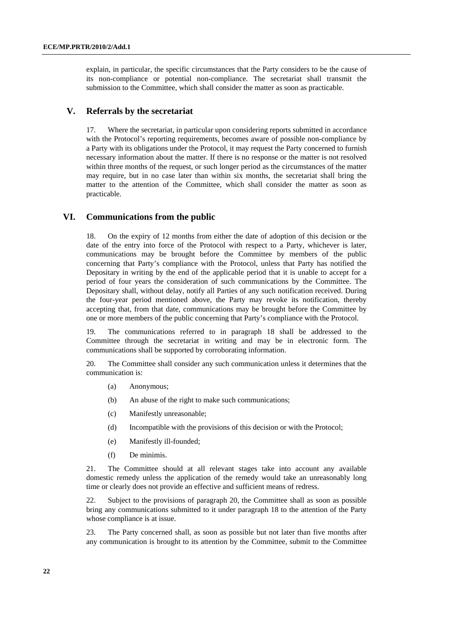explain, in particular, the specific circumstances that the Party considers to be the cause of its non-compliance or potential non-compliance. The secretariat shall transmit the submission to the Committee, which shall consider the matter as soon as practicable.

## **V. Referrals by the secretariat**

17. Where the secretariat, in particular upon considering reports submitted in accordance with the Protocol's reporting requirements, becomes aware of possible non-compliance by a Party with its obligations under the Protocol, it may request the Party concerned to furnish necessary information about the matter. If there is no response or the matter is not resolved within three months of the request, or such longer period as the circumstances of the matter may require, but in no case later than within six months, the secretariat shall bring the matter to the attention of the Committee, which shall consider the matter as soon as practicable.

## **VI. Communications from the public**

18. On the expiry of 12 months from either the date of adoption of this decision or the date of the entry into force of the Protocol with respect to a Party, whichever is later, communications may be brought before the Committee by members of the public concerning that Party's compliance with the Protocol, unless that Party has notified the Depositary in writing by the end of the applicable period that it is unable to accept for a period of four years the consideration of such communications by the Committee. The Depositary shall, without delay, notify all Parties of any such notification received. During the four-year period mentioned above, the Party may revoke its notification, thereby accepting that, from that date, communications may be brought before the Committee by one or more members of the public concerning that Party's compliance with the Protocol.

19. The communications referred to in paragraph 18 shall be addressed to the Committee through the secretariat in writing and may be in electronic form. The communications shall be supported by corroborating information.

20. The Committee shall consider any such communication unless it determines that the communication is:

- (a) Anonymous;
- (b) An abuse of the right to make such communications;
- (c) Manifestly unreasonable;
- (d) Incompatible with the provisions of this decision or with the Protocol;
- (e) Manifestly ill-founded;
- (f) De minimis.

21. The Committee should at all relevant stages take into account any available domestic remedy unless the application of the remedy would take an unreasonably long time or clearly does not provide an effective and sufficient means of redress.

22. Subject to the provisions of paragraph 20, the Committee shall as soon as possible bring any communications submitted to it under paragraph 18 to the attention of the Party whose compliance is at issue.

23. The Party concerned shall, as soon as possible but not later than five months after any communication is brought to its attention by the Committee, submit to the Committee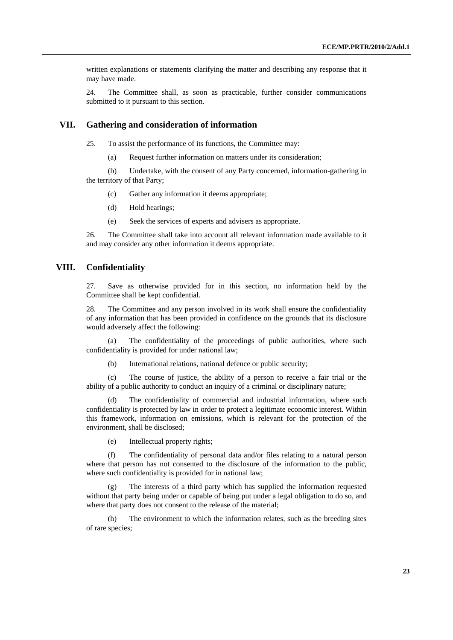written explanations or statements clarifying the matter and describing any response that it may have made.

24. The Committee shall, as soon as practicable, further consider communications submitted to it pursuant to this section.

## **VII. Gathering and consideration of information**

25. To assist the performance of its functions, the Committee may:

(a) Request further information on matters under its consideration;

 (b) Undertake, with the consent of any Party concerned, information-gathering in the territory of that Party;

- (c) Gather any information it deems appropriate;
- (d) Hold hearings;
- (e) Seek the services of experts and advisers as appropriate.

26. The Committee shall take into account all relevant information made available to it and may consider any other information it deems appropriate.

## **VIII. Confidentiality**

27. Save as otherwise provided for in this section, no information held by the Committee shall be kept confidential.

28. The Committee and any person involved in its work shall ensure the confidentiality of any information that has been provided in confidence on the grounds that its disclosure would adversely affect the following:

 (a) The confidentiality of the proceedings of public authorities, where such confidentiality is provided for under national law;

(b) International relations, national defence or public security;

 (c) The course of justice, the ability of a person to receive a fair trial or the ability of a public authority to conduct an inquiry of a criminal or disciplinary nature;

The confidentiality of commercial and industrial information, where such confidentiality is protected by law in order to protect a legitimate economic interest. Within this framework, information on emissions, which is relevant for the protection of the environment, shall be disclosed;

(e) Intellectual property rights;

 (f) The confidentiality of personal data and/or files relating to a natural person where that person has not consented to the disclosure of the information to the public, where such confidentiality is provided for in national law;

 (g) The interests of a third party which has supplied the information requested without that party being under or capable of being put under a legal obligation to do so, and where that party does not consent to the release of the material;

 (h) The environment to which the information relates, such as the breeding sites of rare species;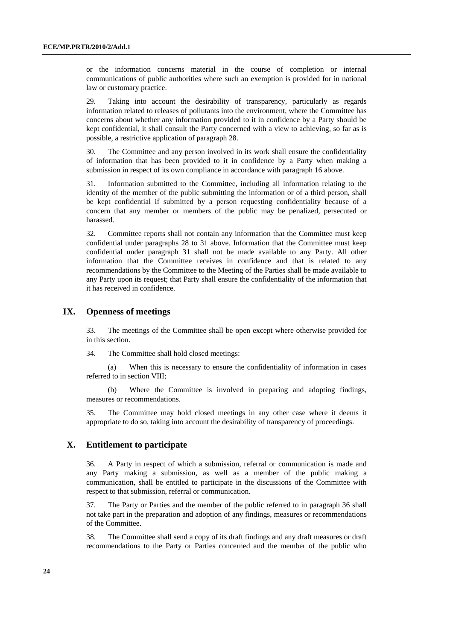or the information concerns material in the course of completion or internal communications of public authorities where such an exemption is provided for in national law or customary practice.

29. Taking into account the desirability of transparency, particularly as regards information related to releases of pollutants into the environment, where the Committee has concerns about whether any information provided to it in confidence by a Party should be kept confidential, it shall consult the Party concerned with a view to achieving, so far as is possible, a restrictive application of paragraph 28.

30. The Committee and any person involved in its work shall ensure the confidentiality of information that has been provided to it in confidence by a Party when making a submission in respect of its own compliance in accordance with paragraph 16 above.

31. Information submitted to the Committee, including all information relating to the identity of the member of the public submitting the information or of a third person, shall be kept confidential if submitted by a person requesting confidentiality because of a concern that any member or members of the public may be penalized, persecuted or harassed.

32. Committee reports shall not contain any information that the Committee must keep confidential under paragraphs 28 to 31 above. Information that the Committee must keep confidential under paragraph 31 shall not be made available to any Party. All other information that the Committee receives in confidence and that is related to any recommendations by the Committee to the Meeting of the Parties shall be made available to any Party upon its request; that Party shall ensure the confidentiality of the information that it has received in confidence.

## **IX. Openness of meetings**

33. The meetings of the Committee shall be open except where otherwise provided for in this section.

34. The Committee shall hold closed meetings:

 (a) When this is necessary to ensure the confidentiality of information in cases referred to in section VIII;

 (b) Where the Committee is involved in preparing and adopting findings, measures or recommendations.

35. The Committee may hold closed meetings in any other case where it deems it appropriate to do so, taking into account the desirability of transparency of proceedings.

## **X. Entitlement to participate**

36. A Party in respect of which a submission, referral or communication is made and any Party making a submission, as well as a member of the public making a communication, shall be entitled to participate in the discussions of the Committee with respect to that submission, referral or communication.

37. The Party or Parties and the member of the public referred to in paragraph 36 shall not take part in the preparation and adoption of any findings, measures or recommendations of the Committee.

38. The Committee shall send a copy of its draft findings and any draft measures or draft recommendations to the Party or Parties concerned and the member of the public who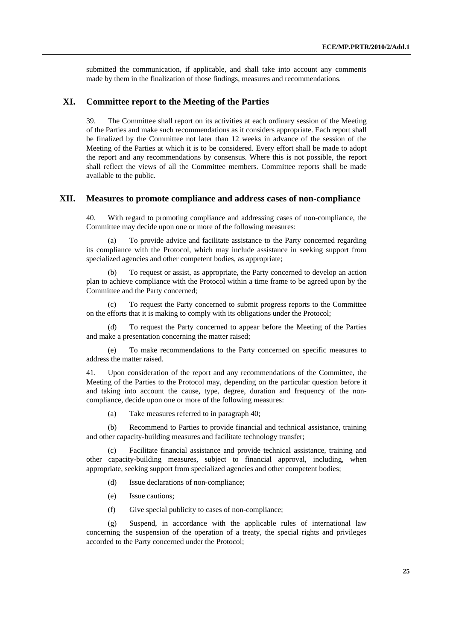submitted the communication, if applicable, and shall take into account any comments made by them in the finalization of those findings, measures and recommendations.

## **XI. Committee report to the Meeting of the Parties**

39. The Committee shall report on its activities at each ordinary session of the Meeting of the Parties and make such recommendations as it considers appropriate. Each report shall be finalized by the Committee not later than 12 weeks in advance of the session of the Meeting of the Parties at which it is to be considered. Every effort shall be made to adopt the report and any recommendations by consensus. Where this is not possible, the report shall reflect the views of all the Committee members. Committee reports shall be made available to the public.

## **XII. Measures to promote compliance and address cases of non-compliance**

40. With regard to promoting compliance and addressing cases of non-compliance, the Committee may decide upon one or more of the following measures:

 (a) To provide advice and facilitate assistance to the Party concerned regarding its compliance with the Protocol, which may include assistance in seeking support from specialized agencies and other competent bodies, as appropriate;

To request or assist, as appropriate, the Party concerned to develop an action plan to achieve compliance with the Protocol within a time frame to be agreed upon by the Committee and the Party concerned;

 (c) To request the Party concerned to submit progress reports to the Committee on the efforts that it is making to comply with its obligations under the Protocol;

 (d) To request the Party concerned to appear before the Meeting of the Parties and make a presentation concerning the matter raised;

 (e) To make recommendations to the Party concerned on specific measures to address the matter raised.

41. Upon consideration of the report and any recommendations of the Committee, the Meeting of the Parties to the Protocol may, depending on the particular question before it and taking into account the cause, type, degree, duration and frequency of the noncompliance, decide upon one or more of the following measures:

(a) Take measures referred to in paragraph 40;

 (b) Recommend to Parties to provide financial and technical assistance, training and other capacity-building measures and facilitate technology transfer;

Facilitate financial assistance and provide technical assistance, training and other capacity-building measures, subject to financial approval, including, when appropriate, seeking support from specialized agencies and other competent bodies;

- (d) Issue declarations of non-compliance;
- (e) Issue cautions;
- (f) Give special publicity to cases of non-compliance;

 (g) Suspend, in accordance with the applicable rules of international law concerning the suspension of the operation of a treaty, the special rights and privileges accorded to the Party concerned under the Protocol;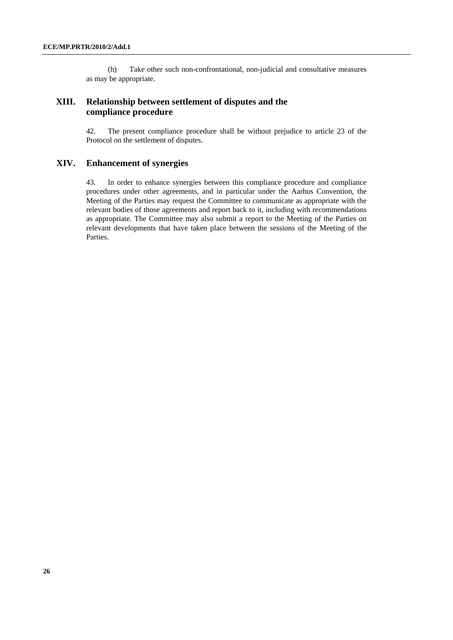(h) Take other such non-confrontational, non-judicial and consultative measures as may be appropriate.

## **XIII. Relationship between settlement of disputes and the compliance procedure**

42. The present compliance procedure shall be without prejudice to article 23 of the Protocol on the settlement of disputes.

## **XIV. Enhancement of synergies**

43. In order to enhance synergies between this compliance procedure and compliance procedures under other agreements, and in particular under the Aarhus Convention, the Meeting of the Parties may request the Committee to communicate as appropriate with the relevant bodies of those agreements and report back to it, including with recommendations as appropriate. The Committee may also submit a report to the Meeting of the Parties on relevant developments that have taken place between the sessions of the Meeting of the Parties.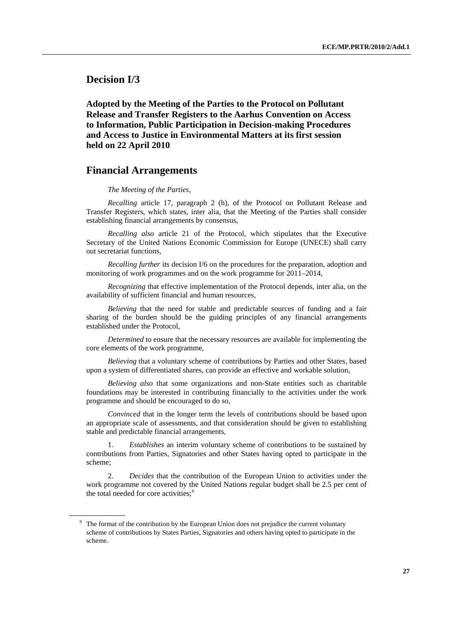<span id="page-26-0"></span> **Decision I/3** 

 **Adopted by the Meeting of the Parties to the Protocol on Pollutant Release and Transfer Registers to the Aarhus Convention on Access to Information, Public Participation in Decision-making Procedures and Access to Justice in Environmental Matters at its first session held on 22 April 2010** 

## **Financial Arrangements**

#### *The Meeting of the Parties,*

 *Recalling* article 17, paragraph 2 (h), of the Protocol on Pollutant Release and Transfer Registers, which states, inter alia, that the Meeting of the Parties shall consider establishing financial arrangements by consensus,

 *Recalling also* article 21 of the Protocol, which stipulates that the Executive Secretary of the United Nations Economic Commission for Europe (UNECE) shall carry out secretariat functions,

 *Recalling further* its decision I/6 on the procedures for the preparation, adoption and monitoring of work programmes and on the work programme for 2011–2014,

 *Recognizing* that effective implementation of the Protocol depends, inter alia, on the availability of sufficient financial and human resources,

 *Believing* that the need for stable and predictable sources of funding and a fair sharing of the burden should be the guiding principles of any financial arrangements established under the Protocol,

*Determined* to ensure that the necessary resources are available for implementing the core elements of the work programme,

 *Believing* that a voluntary scheme of contributions by Parties and other States, based upon a system of differentiated shares, can provide an effective and workable solution,

 *Believing also* that some organizations and non-State entities such as charitable foundations may be interested in contributing financially to the activities under the work programme and should be encouraged to do so,

 *Convinced* that in the longer term the levels of contributions should be based upon an appropriate scale of assessments, and that consideration should be given to establishing stable and predictable financial arrangements,

 1. *Establishes* an interim voluntary scheme of contributions to be sustained by contributions from Parties, Signatories and other States having opted to participate in the scheme;

 2. *Decides* that the contribution of the European Union to activities under the work programme not covered by the United Nations regular budget shall be 2.5 per cent of the total needed for core activities;<sup>[6](#page-26-0)</sup>

 $6\text{ }$  The format of the contribution by the European Union does not prejudice the current voluntary scheme of contributions by States Parties, Signatories and others having opted to participate in the scheme.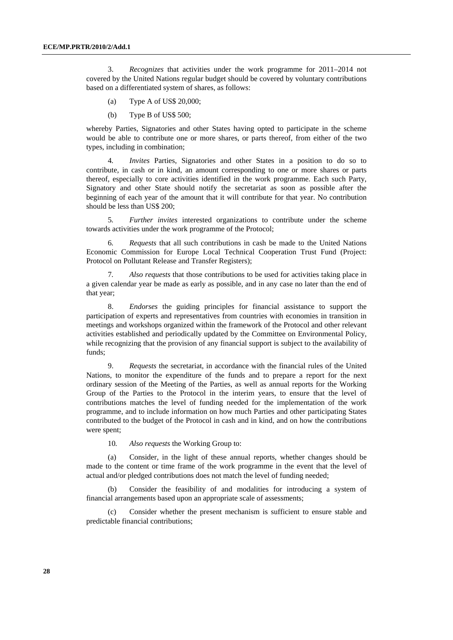3. *Recognizes* that activities under the work programme for 2011–2014 not covered by the United Nations regular budget should be covered by voluntary contributions based on a differentiated system of shares, as follows:

(a) Type A of US\$ 20,000;

(b) Type B of US\$ 500;

whereby Parties, Signatories and other States having opted to participate in the scheme would be able to contribute one or more shares, or parts thereof, from either of the two types, including in combination;

 4*. Invites* Parties, Signatories and other States in a position to do so to contribute, in cash or in kind, an amount corresponding to one or more shares or parts thereof, especially to core activities identified in the work programme. Each such Party, Signatory and other State should notify the secretariat as soon as possible after the beginning of each year of the amount that it will contribute for that year. No contribution should be less than US\$ 200;

 5*. Further invites* interested organizations to contribute under the scheme towards activities under the work programme of the Protocol;

 6*. Requests* that all such contributions in cash be made to the United Nations Economic Commission for Europe Local Technical Cooperation Trust Fund (Project: Protocol on Pollutant Release and Transfer Registers);

 7*. Also requests* that those contributions to be used for activities taking place in a given calendar year be made as early as possible, and in any case no later than the end of that year;

 8. *Endorses* the guiding principles for financial assistance to support the participation of experts and representatives from countries with economies in transition in meetings and workshops organized within the framework of the Protocol and other relevant activities established and periodically updated by the Committee on Environmental Policy, while recognizing that the provision of any financial support is subject to the availability of funds;

 9. *Requests* the secretariat, in accordance with the financial rules of the United Nations, to monitor the expenditure of the funds and to prepare a report for the next ordinary session of the Meeting of the Parties, as well as annual reports for the Working Group of the Parties to the Protocol in the interim years, to ensure that the level of contributions matches the level of funding needed for the implementation of the work programme, and to include information on how much Parties and other participating States contributed to the budget of the Protocol in cash and in kind, and on how the contributions were spent;

10*. Also requests* the Working Group to:

 (a) Consider, in the light of these annual reports, whether changes should be made to the content or time frame of the work programme in the event that the level of actual and/or pledged contributions does not match the level of funding needed;

 (b) Consider the feasibility of and modalities for introducing a system of financial arrangements based upon an appropriate scale of assessments;

 (c) Consider whether the present mechanism is sufficient to ensure stable and predictable financial contributions;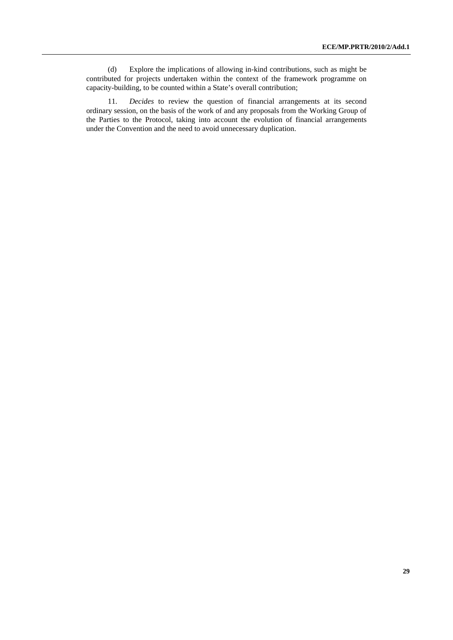(d) Explore the implications of allowing in-kind contributions, such as might be contributed for projects undertaken within the context of the framework programme on capacity-building, to be counted within a State's overall contribution;

 11. *Decides* to review the question of financial arrangements at its second ordinary session, on the basis of the work of and any proposals from the Working Group of the Parties to the Protocol, taking into account the evolution of financial arrangements under the Convention and the need to avoid unnecessary duplication.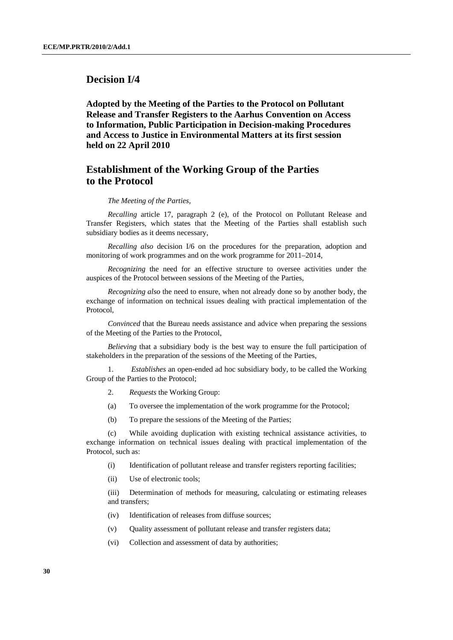# **Decision I/4**

 **Adopted by the Meeting of the Parties to the Protocol on Pollutant Release and Transfer Registers to the Aarhus Convention on Access to Information, Public Participation in Decision-making Procedures and Access to Justice in Environmental Matters at its first session held on 22 April 2010** 

# **Establishment of the Working Group of the Parties to the Protocol**

#### *The Meeting of the Parties,*

 *Recalling* article 17, paragraph 2 (e), of the Protocol on Pollutant Release and Transfer Registers, which states that the Meeting of the Parties shall establish such subsidiary bodies as it deems necessary,

 *Recalling also* decision I/6 on the procedures for the preparation, adoption and monitoring of work programmes and on the work programme for 2011–2014,

 *Recognizing* the need for an effective structure to oversee activities under the auspices of the Protocol between sessions of the Meeting of the Parties,

 *Recognizing also* the need to ensure, when not already done so by another body, the exchange of information on technical issues dealing with practical implementation of the Protocol,

 *Convinced* that the Bureau needs assistance and advice when preparing the sessions of the Meeting of the Parties to the Protocol,

 *Believing* that a subsidiary body is the best way to ensure the full participation of stakeholders in the preparation of the sessions of the Meeting of the Parties,

 1. *Establishes* an open-ended ad hoc subsidiary body, to be called the Working Group of the Parties to the Protocol;

- 2. *Requests* the Working Group:
- (a) To oversee the implementation of the work programme for the Protocol;
- (b) To prepare the sessions of the Meeting of the Parties;

 (c) While avoiding duplication with existing technical assistance activities, to exchange information on technical issues dealing with practical implementation of the Protocol, such as:

- (i) Identification of pollutant release and transfer registers reporting facilities;
- (ii) Use of electronic tools;

 (iii) Determination of methods for measuring, calculating or estimating releases and transfers;

- (iv) Identification of releases from diffuse sources;
- (v) Quality assessment of pollutant release and transfer registers data;
- (vi) Collection and assessment of data by authorities;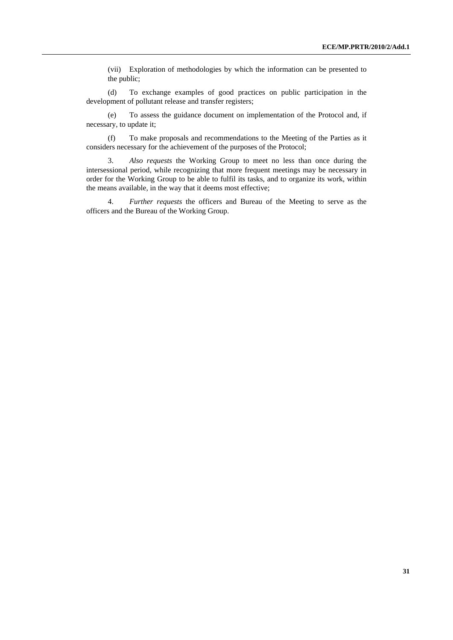(vii) Exploration of methodologies by which the information can be presented to the public;

 (d) To exchange examples of good practices on public participation in the development of pollutant release and transfer registers;

 (e) To assess the guidance document on implementation of the Protocol and, if necessary, to update it;

 (f) To make proposals and recommendations to the Meeting of the Parties as it considers necessary for the achievement of the purposes of the Protocol;

 3. *Also requests* the Working Group to meet no less than once during the intersessional period, while recognizing that more frequent meetings may be necessary in order for the Working Group to be able to fulfil its tasks, and to organize its work, within the means available, in the way that it deems most effective;

 4. *Further requests* the officers and Bureau of the Meeting to serve as the officers and the Bureau of the Working Group.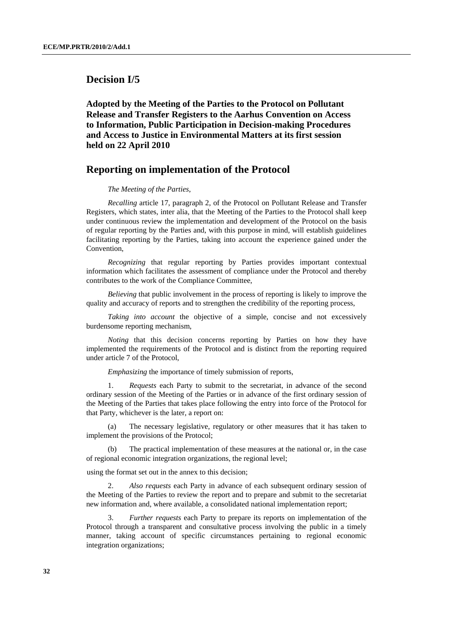# **Decision I/5**

 **Adopted by the Meeting of the Parties to the Protocol on Pollutant Release and Transfer Registers to the Aarhus Convention on Access to Information, Public Participation in Decision-making Procedures and Access to Justice in Environmental Matters at its first session held on 22 April 2010** 

## **Reporting on implementation of the Protocol**

#### *The Meeting of the Parties*,

 *Recalling* article 17, paragraph 2, of the Protocol on Pollutant Release and Transfer Registers, which states, inter alia, that the Meeting of the Parties to the Protocol shall keep under continuous review the implementation and development of the Protocol on the basis of regular reporting by the Parties and, with this purpose in mind, will establish guidelines facilitating reporting by the Parties, taking into account the experience gained under the Convention,

 *Recognizing* that regular reporting by Parties provides important contextual information which facilitates the assessment of compliance under the Protocol and thereby contributes to the work of the Compliance Committee,

 *Believing* that public involvement in the process of reporting is likely to improve the quality and accuracy of reports and to strengthen the credibility of the reporting process,

 *Taking into account* the objective of a simple, concise and not excessively burdensome reporting mechanism,

 *Noting* that this decision concerns reporting by Parties on how they have implemented the requirements of the Protocol and is distinct from the reporting required under article 7 of the Protocol,

 *Emphasizing* the importance of timely submission of reports,

 1. *Requests* each Party to submit to the secretariat, in advance of the second ordinary session of the Meeting of the Parties or in advance of the first ordinary session of the Meeting of the Parties that takes place following the entry into force of the Protocol for that Party, whichever is the later, a report on:

 (a) The necessary legislative, regulatory or other measures that it has taken to implement the provisions of the Protocol;

 (b) The practical implementation of these measures at the national or, in the case of regional economic integration organizations, the regional level;

using the format set out in the annex to this decision;

Also requests each Party in advance of each subsequent ordinary session of the Meeting of the Parties to review the report and to prepare and submit to the secretariat new information and, where available, a consolidated national implementation report;

 3. *Further requests* each Party to prepare its reports on implementation of the Protocol through a transparent and consultative process involving the public in a timely manner, taking account of specific circumstances pertaining to regional economic integration organizations;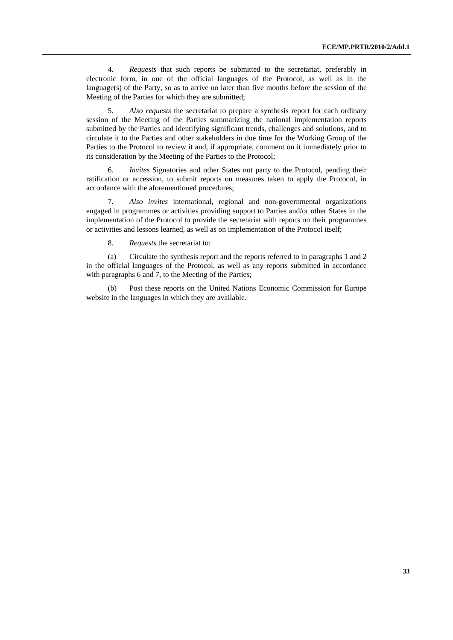4. *Requests* that such reports be submitted to the secretariat, preferably in electronic form, in one of the official languages of the Protocol, as well as in the language(s) of the Party, so as to arrive no later than five months before the session of the Meeting of the Parties for which they are submitted;

 5. *Also requests* the secretariat to prepare a synthesis report for each ordinary session of the Meeting of the Parties summarizing the national implementation reports submitted by the Parties and identifying significant trends, challenges and solutions, and to circulate it to the Parties and other stakeholders in due time for the Working Group of the Parties to the Protocol to review it and, if appropriate, comment on it immediately prior to its consideration by the Meeting of the Parties to the Protocol;

 6. *Invites* Signatories and other States not party to the Protocol, pending their ratification or accession, to submit reports on measures taken to apply the Protocol, in accordance with the aforementioned procedures;

 7*. Also invites* international, regional and non-governmental organizations engaged in programmes or activities providing support to Parties and/or other States in the implementation of the Protocol to provide the secretariat with reports on their programmes or activities and lessons learned, as well as on implementation of the Protocol itself;

8. *Requests* the secretariat to:

 (a) Circulate the synthesis report and the reports referred to in paragraphs 1 and 2 in the official languages of the Protocol, as well as any reports submitted in accordance with paragraphs 6 and 7, to the Meeting of the Parties;

 (b) Post these reports on the United Nations Economic Commission for Europe website in the languages in which they are available.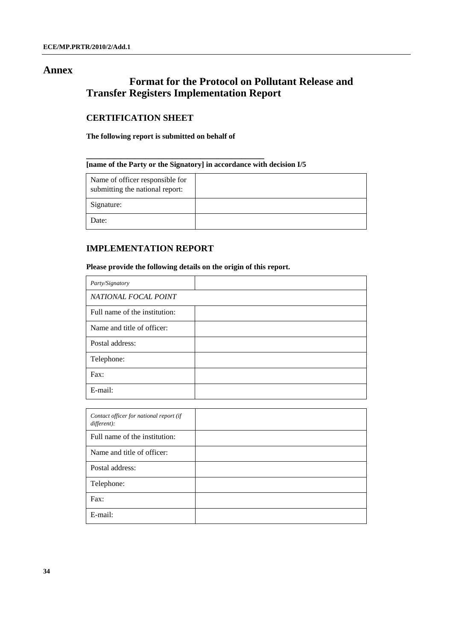## **Annex**

# **Format for the Protocol on Pollutant Release and Transfer Registers Implementation Report**

# **CERTIFICATION SHEET**

## **The following report is submitted on behalf of**

**\_\_\_\_\_\_\_\_\_\_\_\_\_\_\_\_\_\_\_\_\_\_\_\_\_\_\_\_\_\_\_\_\_\_\_\_\_\_\_** 

## **[name of the Party or the Signatory] in accordance with decision I/5**

| Name of officer responsible for<br>submitting the national report: |  |
|--------------------------------------------------------------------|--|
| Signature:                                                         |  |
| Date:                                                              |  |

# **IMPLEMENTATION REPORT**

## **Please provide the following details on the origin of this report.**

| Party/Signatory               |  |
|-------------------------------|--|
| NATIONAL FOCAL POINT          |  |
| Full name of the institution: |  |
| Name and title of officer:    |  |
| Postal address:               |  |
| Telephone:                    |  |
| Fax:                          |  |
| E-mail:                       |  |

| Contact officer for national report (if<br>different): |  |
|--------------------------------------------------------|--|
| Full name of the institution:                          |  |
| Name and title of officer:                             |  |
| Postal address:                                        |  |
| Telephone:                                             |  |
| Fax:                                                   |  |
| E-mail:                                                |  |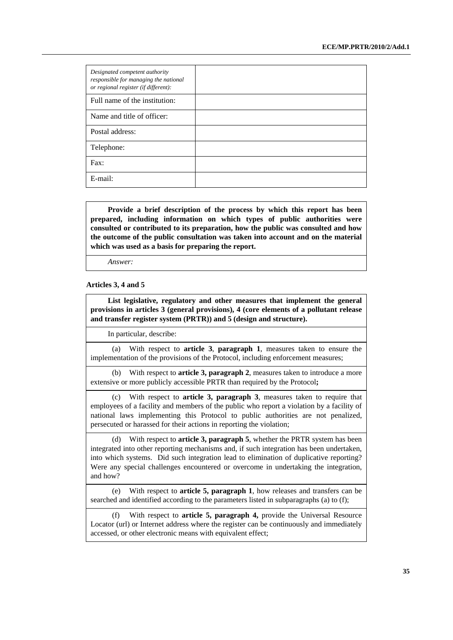| Designated competent authority<br>responsible for managing the national<br>or regional register (if different): |  |
|-----------------------------------------------------------------------------------------------------------------|--|
| Full name of the institution:                                                                                   |  |
| Name and title of officer:                                                                                      |  |
| Postal address:                                                                                                 |  |
| Telephone:                                                                                                      |  |
| Fax:                                                                                                            |  |
| E-mail:                                                                                                         |  |

 **Provide a brief description of the process by which this report has been prepared, including information on which types of public authorities were consulted or contributed to its preparation, how the public was consulted and how the outcome of the public consultation was taken into account and on the material which was used as a basis for preparing the report.**

 *Answer:* 

#### **Articles 3, 4 and 5**

 **List legislative, regulatory and other measures that implement the general provisions in articles 3 (general provisions), 4 (core elements of a pollutant release and transfer register system (PRTR)) and 5 (design and structure).** 

In particular, describe:

(a) With respect to **article 3**, **paragraph 1**, measures taken to ensure the implementation of the provisions of the Protocol, including enforcement measures;

(b) With respect to **article 3, paragraph 2**, measures taken to introduce a more extensive or more publicly accessible PRTR than required by the Protocol**;** 

(c) With respect to **article 3, paragraph 3**, measures taken to require that employees of a facility and members of the public who report a violation by a facility of national laws implementing this Protocol to public authorities are not penalized, persecuted or harassed for their actions in reporting the violation;

(d) With respect to **article 3, paragraph 5**, whether the PRTR system has been integrated into other reporting mechanisms and, if such integration has been undertaken, into which systems. Did such integration lead to elimination of duplicative reporting? Were any special challenges encountered or overcome in undertaking the integration, and how?

(e) With respect to **article 5, paragraph 1**, how releases and transfers can be searched and identified according to the parameters listed in subparagraphs (a) to (f);

(f) With respect to **article 5, paragraph 4,** provide the Universal Resource Locator (url) or Internet address where the register can be continuously and immediately accessed, or other electronic means with equivalent effect;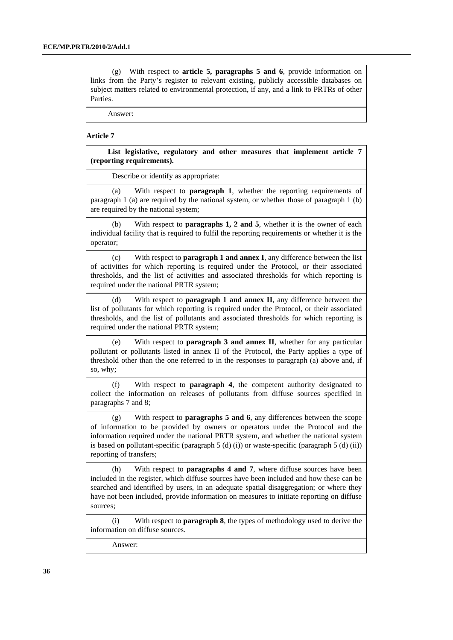(g) With respect to **article 5, paragraphs 5 and 6**, provide information on links from the Party's register to relevant existing, publicly accessible databases on subject matters related to environmental protection, if any, and a link to PRTRs of other Parties.

Answer:

#### **Article 7**

 **List legislative, regulatory and other measures that implement article 7 (reporting requirements).** 

Describe or identify as appropriate:

(a) With respect to **paragraph 1**, whether the reporting requirements of paragraph 1 (a) are required by the national system, or whether those of paragraph 1 (b) are required by the national system;

(b) With respect to **paragraphs 1, 2 and 5**, whether it is the owner of each individual facility that is required to fulfil the reporting requirements or whether it is the operator;

(c) With respect to **paragraph 1 and annex I**, any difference between the list of activities for which reporting is required under the Protocol, or their associated thresholds, and the list of activities and associated thresholds for which reporting is required under the national PRTR system;

(d) With respect to **paragraph 1 and annex II**, any difference between the list of pollutants for which reporting is required under the Protocol, or their associated thresholds, and the list of pollutants and associated thresholds for which reporting is required under the national PRTR system;

(e) With respect to **paragraph 3 and annex II**, whether for any particular pollutant or pollutants listed in annex II of the Protocol, the Party applies a type of threshold other than the one referred to in the responses to paragraph (a) above and, if so, why;

(f) With respect to **paragraph 4**, the competent authority designated to collect the information on releases of pollutants from diffuse sources specified in paragraphs 7 and 8;

(g) With respect to **paragraphs 5 and 6**, any differences between the scope of information to be provided by owners or operators under the Protocol and the information required under the national PRTR system, and whether the national system is based on pollutant-specific (paragraph  $5$  (d) (ii)) or waste-specific (paragraph  $5$  (d) (ii)) reporting of transfers;

(h) With respect to **paragraphs 4 and 7**, where diffuse sources have been included in the register, which diffuse sources have been included and how these can be searched and identified by users, in an adequate spatial disaggregation; or where they have not been included, provide information on measures to initiate reporting on diffuse sources;

(i) With respect to **paragraph 8**, the types of methodology used to derive the information on diffuse sources.

Answer: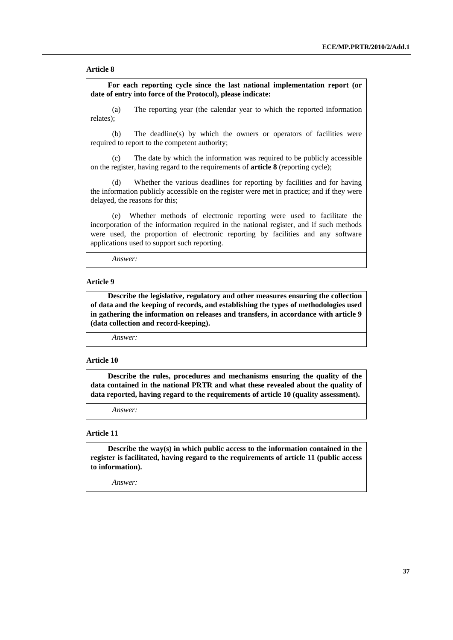#### **Article 8**

 **For each reporting cycle since the last national implementation report (or date of entry into force of the Protocol), please indicate:** 

(a) The reporting year (the calendar year to which the reported information relates);

(b) The deadline(s) by which the owners or operators of facilities were required to report to the competent authority;

(c) The date by which the information was required to be publicly accessible on the register, having regard to the requirements of **article 8** (reporting cycle);

(d) Whether the various deadlines for reporting by facilities and for having the information publicly accessible on the register were met in practice; and if they were delayed, the reasons for this;

(e) Whether methods of electronic reporting were used to facilitate the incorporation of the information required in the national register, and if such methods were used, the proportion of electronic reporting by facilities and any software applications used to support such reporting.

*Answer:*

### **Article 9**

 **Describe the legislative, regulatory and other measures ensuring the collection of data and the keeping of records, and establishing the types of methodologies used in gathering the information on releases and transfers, in accordance with article 9 (data collection and record-keeping).** 

*Answer:*

#### **Article 10**

 **Describe the rules, procedures and mechanisms ensuring the quality of the data contained in the national PRTR and what these revealed about the quality of data reported, having regard to the requirements of article 10 (quality assessment).**

*Answer:*

## **Article 11**

 **Describe the way(s) in which public access to the information contained in the register is facilitated, having regard to the requirements of article 11 (public access to information).**

*Answer:*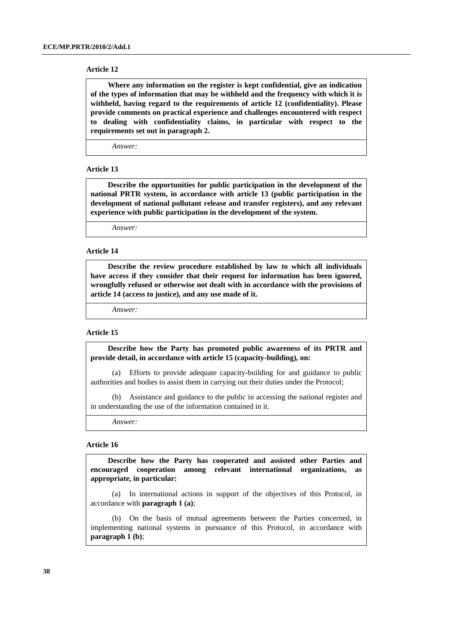#### **Article 12**

 **Where any information on the register is kept confidential, give an indication of the types of information that may be withheld and the frequency with which it is withheld, having regard to the requirements of article 12 (confidentiality). Please provide comments on practical experience and challenges encountered with respect to dealing with confidentiality claims, in particular with respect to the requirements set out in paragraph 2.** 

*Answer:*

#### **Article 13**

 **Describe the opportunities for public participation in the development of the national PRTR system, in accordance with article 13 (public participation in the development of national pollutant release and transfer registers), and any relevant experience with public participation in the development of the system.**

*Answer:*

#### **Article 14**

 **Describe the review procedure established by law to which all individuals have access if they consider that their request for information has been ignored, wrongfully refused or otherwise not dealt with in accordance with the provisions of article 14 (access to justice), and any use made of it.**

*Answer:*

#### **Article 15**

 **Describe how the Party has promoted public awareness of its PRTR and provide detail, in accordance with article 15 (capacity-building), on:** 

(a) Efforts to provide adequate capacity-building for and guidance to public authorities and bodies to assist them in carrying out their duties under the Protocol;

(b) Assistance and guidance to the public in accessing the national register and in understanding the use of the information contained in it.

*Answer:*

### **Article 16**

 **Describe how the Party has cooperated and assisted other Parties and encouraged cooperation among relevant international organizations, as appropriate, in particular:**

(a) In international actions in support of the objectives of this Protocol, in accordance with **paragraph 1 (a)**;

(b) On the basis of mutual agreements between the Parties concerned, in implementing national systems in pursuance of this Protocol, in accordance with **paragraph 1 (b)**;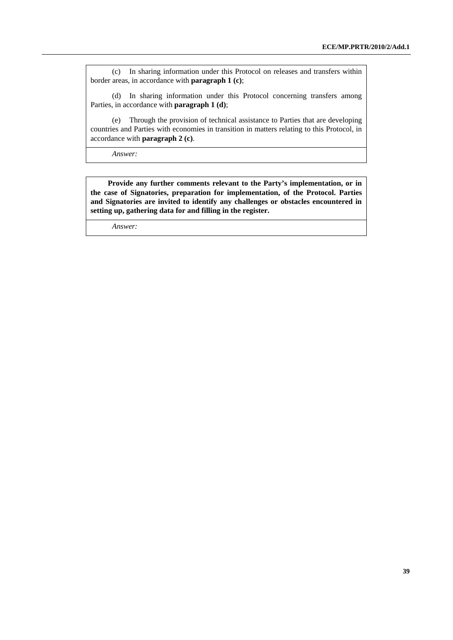(c) In sharing information under this Protocol on releases and transfers within border areas, in accordance with **paragraph 1 (c)**;

(d) In sharing information under this Protocol concerning transfers among Parties, in accordance with **paragraph 1 (d)**;

(e) Through the provision of technical assistance to Parties that are developing countries and Parties with economies in transition in matters relating to this Protocol, in accordance with **paragraph 2 (c)**.

*Answer:*

 **Provide any further comments relevant to the Party's implementation, or in the case of Signatories, preparation for implementation, of the Protocol. Parties and Signatories are invited to identify any challenges or obstacles encountered in setting up, gathering data for and filling in the register.**

*Answer:*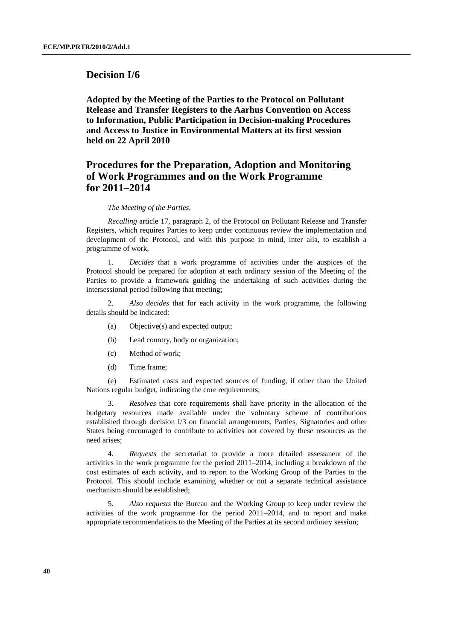## **Decision I/6**

 **Adopted by the Meeting of the Parties to the Protocol on Pollutant Release and Transfer Registers to the Aarhus Convention on Access to Information, Public Participation in Decision-making Procedures and Access to Justice in Environmental Matters at its first session held on 22 April 2010** 

# **Procedures for the Preparation, Adoption and Monitoring of Work Programmes and on the Work Programme for 2011–2014**

#### *The Meeting of the Parties,*

 *Recalling* article 17, paragraph 2, of the Protocol on Pollutant Release and Transfer Registers, which requires Parties to keep under continuous review the implementation and development of the Protocol, and with this purpose in mind, inter alia, to establish a programme of work,

 1. *Decides* that a work programme of activities under the auspices of the Protocol should be prepared for adoption at each ordinary session of the Meeting of the Parties to provide a framework guiding the undertaking of such activities during the intersessional period following that meeting;

 2. *Also decides* that for each activity in the work programme, the following details should be indicated:

- (a) Objective(s) and expected output;
- (b) Lead country, body or organization;
- (c) Method of work;
- (d) Time frame;

 (e) Estimated costs and expected sources of funding, if other than the United Nations regular budget, indicating the core requirements;

 3. *Resolves* that core requirements shall have priority in the allocation of the budgetary resources made available under the voluntary scheme of contributions established through decision I/3 on financial arrangements, Parties, Signatories and other States being encouraged to contribute to activities not covered by these resources as the need arises;

 4. *Requests* the secretariat to provide a more detailed assessment of the activities in the work programme for the period 2011–2014, including a breakdown of the cost estimates of each activity, and to report to the Working Group of the Parties to the Protocol. This should include examining whether or not a separate technical assistance mechanism should be established;

 5. *Also requests* the Bureau and the Working Group to keep under review the activities of the work programme for the period 2011–2014, and to report and make appropriate recommendations to the Meeting of the Parties at its second ordinary session;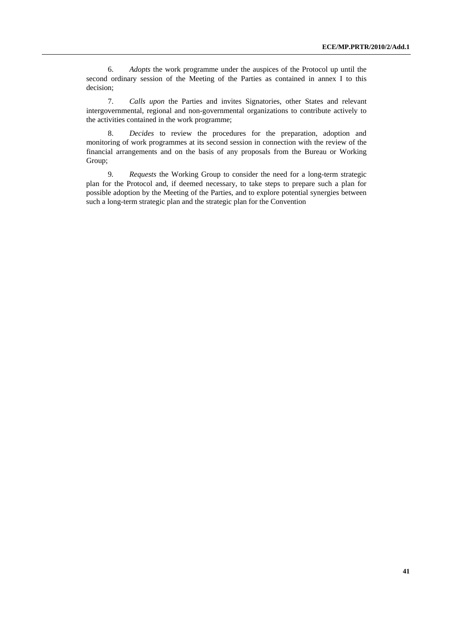6. *Adopts* the work programme under the auspices of the Protocol up until the second ordinary session of the Meeting of the Parties as contained in annex I to this decision;

 7. *Calls upon* the Parties and invites Signatories, other States and relevant intergovernmental, regional and non-governmental organizations to contribute actively to the activities contained in the work programme;

 8. *Decides* to review the procedures for the preparation, adoption and monitoring of work programmes at its second session in connection with the review of the financial arrangements and on the basis of any proposals from the Bureau or Working Group;

 9*. Requests* the Working Group to consider the need for a long-term strategic plan for the Protocol and, if deemed necessary, to take steps to prepare such a plan for possible adoption by the Meeting of the Parties, and to explore potential synergies between such a long-term strategic plan and the strategic plan for the Convention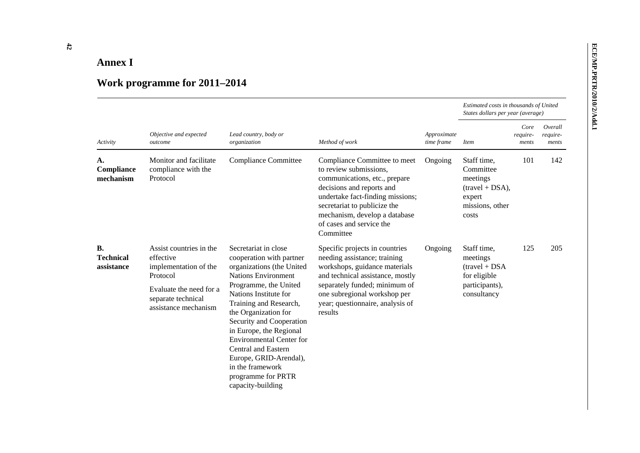| <b>Annex I</b>                                                                                                                                                                                                                                                                                                                                                                                                                                                                                                                                                                                                                                                                                                                                                               |                                                                                                                                                    |                                                                                                                                                                                                                                                                                                                                                                                                                           |                                                                                                                                                                                                                                                     |         |                                                                                              |     |     |  |
|------------------------------------------------------------------------------------------------------------------------------------------------------------------------------------------------------------------------------------------------------------------------------------------------------------------------------------------------------------------------------------------------------------------------------------------------------------------------------------------------------------------------------------------------------------------------------------------------------------------------------------------------------------------------------------------------------------------------------------------------------------------------------|----------------------------------------------------------------------------------------------------------------------------------------------------|---------------------------------------------------------------------------------------------------------------------------------------------------------------------------------------------------------------------------------------------------------------------------------------------------------------------------------------------------------------------------------------------------------------------------|-----------------------------------------------------------------------------------------------------------------------------------------------------------------------------------------------------------------------------------------------------|---------|----------------------------------------------------------------------------------------------|-----|-----|--|
| Work programme for 2011-2014<br>Estimated costs in thousands of United<br>States dollars per year (average)<br>Overall<br>Core<br>Objective and expected<br>Lead country, body or<br>Approximate<br>require-<br>require-<br>Method of work<br>time frame<br>Activity<br>organization<br>outcome<br><i>Item</i><br>ments<br>ments<br>101<br>142<br>Monitor and facilitate<br><b>Compliance Committee</b><br>Staff time,<br>Compliance Committee to meet<br>Ongoing<br>А.<br>Compliance<br>compliance with the<br>to review submissions,<br>Committee<br>mechanism<br>Protocol<br>communications, etc., prepare<br>meetings<br>decisions and reports and<br>$(travel + DSA),$<br>undertake fact-finding missions;<br>expert<br>secretariat to publicize the<br>missions, other |                                                                                                                                                    |                                                                                                                                                                                                                                                                                                                                                                                                                           |                                                                                                                                                                                                                                                     |         |                                                                                              |     |     |  |
|                                                                                                                                                                                                                                                                                                                                                                                                                                                                                                                                                                                                                                                                                                                                                                              |                                                                                                                                                    |                                                                                                                                                                                                                                                                                                                                                                                                                           |                                                                                                                                                                                                                                                     |         |                                                                                              |     |     |  |
|                                                                                                                                                                                                                                                                                                                                                                                                                                                                                                                                                                                                                                                                                                                                                                              |                                                                                                                                                    |                                                                                                                                                                                                                                                                                                                                                                                                                           |                                                                                                                                                                                                                                                     |         |                                                                                              |     |     |  |
|                                                                                                                                                                                                                                                                                                                                                                                                                                                                                                                                                                                                                                                                                                                                                                              |                                                                                                                                                    |                                                                                                                                                                                                                                                                                                                                                                                                                           | mechanism, develop a database<br>of cases and service the<br>Committee                                                                                                                                                                              |         | costs                                                                                        |     |     |  |
| <b>B.</b><br><b>Technical</b><br>assistance                                                                                                                                                                                                                                                                                                                                                                                                                                                                                                                                                                                                                                                                                                                                  | Assist countries in the<br>effective<br>implementation of the<br>Protocol<br>Evaluate the need for a<br>separate technical<br>assistance mechanism | Secretariat in close<br>cooperation with partner<br>organizations (the United<br><b>Nations Environment</b><br>Programme, the United<br>Nations Institute for<br>Training and Research,<br>the Organization for<br>Security and Cooperation<br>in Europe, the Regional<br><b>Environmental Center for</b><br>Central and Eastern<br>Europe, GRID-Arendal),<br>in the framework<br>programme for PRTR<br>capacity-building | Specific projects in countries<br>needing assistance; training<br>workshops, guidance materials<br>and technical assistance, mostly<br>separately funded; minimum of<br>one subregional workshop per<br>year; questionnaire, analysis of<br>results | Ongoing | Staff time,<br>meetings<br>$(travel + DSA)$<br>for eligible<br>participants),<br>consultancy | 125 | 205 |  |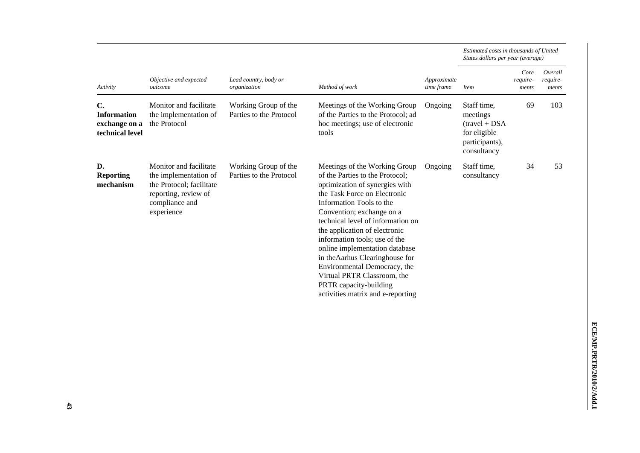| Activity                                                     |                                                                                                                                     |                                                 |                                                                                                                                                                                                                                                                                                                                                                                                                                                                                                       |                           | Estimated costs in thousands of United<br>States dollars per year (average)                  |                           |                              |  |  |
|--------------------------------------------------------------|-------------------------------------------------------------------------------------------------------------------------------------|-------------------------------------------------|-------------------------------------------------------------------------------------------------------------------------------------------------------------------------------------------------------------------------------------------------------------------------------------------------------------------------------------------------------------------------------------------------------------------------------------------------------------------------------------------------------|---------------------------|----------------------------------------------------------------------------------------------|---------------------------|------------------------------|--|--|
|                                                              | Objective and expected<br>outcome                                                                                                   | Lead country, body or<br>organization           | Method of work                                                                                                                                                                                                                                                                                                                                                                                                                                                                                        | Approximate<br>time frame | <i>Item</i>                                                                                  | Core<br>require-<br>ments | Overall<br>require-<br>ments |  |  |
| C.<br><b>Information</b><br>exchange on a<br>technical level | Monitor and facilitate<br>the implementation of<br>the Protocol                                                                     | Working Group of the<br>Parties to the Protocol | Meetings of the Working Group<br>of the Parties to the Protocol; ad<br>hoc meetings; use of electronic<br>tools                                                                                                                                                                                                                                                                                                                                                                                       | Ongoing                   | Staff time,<br>meetings<br>$(travel + DSA)$<br>for eligible<br>participants),<br>consultancy | 69                        | 103                          |  |  |
| D.<br><b>Reporting</b><br>mechanism                          | Monitor and facilitate<br>the implementation of<br>the Protocol; facilitate<br>reporting, review of<br>compliance and<br>experience | Working Group of the<br>Parties to the Protocol | Meetings of the Working Group<br>of the Parties to the Protocol;<br>optimization of synergies with<br>the Task Force on Electronic<br>Information Tools to the<br>Convention; exchange on a<br>technical level of information on<br>the application of electronic<br>information tools; use of the<br>online implementation database<br>in the Aarhus Clearinghouse for<br>Environmental Democracy, the<br>Virtual PRTR Classroom, the<br>PRTR capacity-building<br>activities matrix and e-reporting | Ongoing                   | Staff time,<br>consultancy                                                                   | 34                        | 53                           |  |  |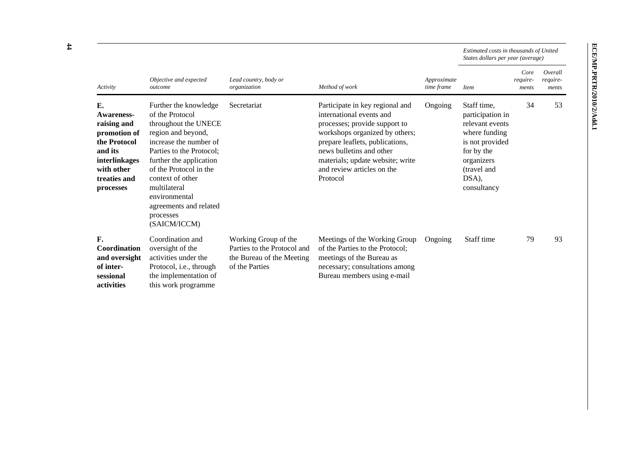|                                                                                                                                               |                                                                                                                                                                                                                                                                                                               |                                                                                                    |                                                                                                                                                                                                                                                                             |                           | Estimated costs in thousands of United<br>States dollars per year (average)                                                                               |                           |                              |
|-----------------------------------------------------------------------------------------------------------------------------------------------|---------------------------------------------------------------------------------------------------------------------------------------------------------------------------------------------------------------------------------------------------------------------------------------------------------------|----------------------------------------------------------------------------------------------------|-----------------------------------------------------------------------------------------------------------------------------------------------------------------------------------------------------------------------------------------------------------------------------|---------------------------|-----------------------------------------------------------------------------------------------------------------------------------------------------------|---------------------------|------------------------------|
| Activity                                                                                                                                      | Objective and expected<br>outcome                                                                                                                                                                                                                                                                             | Lead country, body or<br>organization                                                              | Method of work                                                                                                                                                                                                                                                              | Approximate<br>time frame | <i>Item</i>                                                                                                                                               | Core<br>require-<br>ments | Overall<br>require-<br>ments |
| E.<br><b>Awareness-</b><br>raising and<br>promotion of<br>the Protocol<br>and its<br>interlinkages<br>with other<br>treaties and<br>processes | Further the knowledge<br>of the Protocol<br>throughout the UNECE<br>region and beyond,<br>increase the number of<br>Parties to the Protocol;<br>further the application<br>of the Protocol in the<br>context of other<br>multilateral<br>environmental<br>agreements and related<br>processes<br>(SAICM/ICCM) | Secretariat                                                                                        | Participate in key regional and<br>international events and<br>processes; provide support to<br>workshops organized by others;<br>prepare leaflets, publications,<br>news bulletins and other<br>materials; update website; write<br>and review articles on the<br>Protocol | Ongoing                   | Staff time,<br>participation in<br>relevant events<br>where funding<br>is not provided<br>for by the<br>organizers<br>(travel and<br>DSA),<br>consultancy | 34                        | 53                           |
| F.<br>Coordination<br>and oversight<br>of inter-<br>sessional<br>activities                                                                   | Coordination and<br>oversight of the<br>activities under the<br>Protocol, i.e., through<br>the implementation of<br>this work programme                                                                                                                                                                       | Working Group of the<br>Parties to the Protocol and<br>the Bureau of the Meeting<br>of the Parties | Meetings of the Working Group<br>of the Parties to the Protocol:<br>meetings of the Bureau as<br>necessary; consultations among<br>Bureau members using e-mail                                                                                                              | Ongoing                   | Staff time                                                                                                                                                | 79                        | 93                           |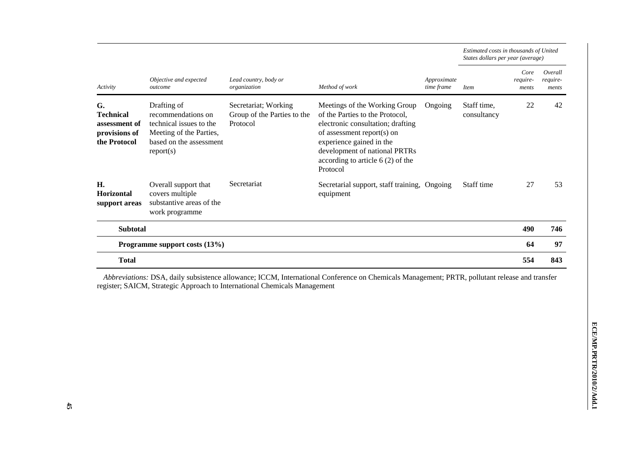| Activity                                                                 |                                                                                                                                 |                                                                 |                                                                                                                                                                                                                                                    |                           | Estimated costs in thousands of United<br>States dollars per year (average) |                           |                              |  |
|--------------------------------------------------------------------------|---------------------------------------------------------------------------------------------------------------------------------|-----------------------------------------------------------------|----------------------------------------------------------------------------------------------------------------------------------------------------------------------------------------------------------------------------------------------------|---------------------------|-----------------------------------------------------------------------------|---------------------------|------------------------------|--|
|                                                                          | Objective and expected<br>outcome                                                                                               | Lead country, body or<br>organization                           | Method of work                                                                                                                                                                                                                                     | Approximate<br>time frame | <b>Item</b>                                                                 | Core<br>require-<br>ments | Overall<br>require-<br>ments |  |
| G.<br><b>Technical</b><br>assessment of<br>provisions of<br>the Protocol | Drafting of<br>recommendations on<br>technical issues to the<br>Meeting of the Parties,<br>based on the assessment<br>report(s) | Secretariat; Working<br>Group of the Parties to the<br>Protocol | Meetings of the Working Group<br>of the Parties to the Protocol,<br>electronic consultation; drafting<br>of assessment report(s) on<br>experience gained in the<br>development of national PRTRs<br>according to article $6(2)$ of the<br>Protocol | Ongoing                   | Staff time,<br>consultancy                                                  | 22                        | 42                           |  |
| H.<br><b>Horizontal</b><br>support areas                                 | Overall support that<br>covers multiple<br>substantive areas of the<br>work programme                                           | Secretariat                                                     | Secretarial support, staff training, Ongoing<br>equipment                                                                                                                                                                                          |                           | Staff time                                                                  | 27                        | 53                           |  |
| <b>Subtotal</b>                                                          |                                                                                                                                 |                                                                 |                                                                                                                                                                                                                                                    |                           |                                                                             | 490                       | 746                          |  |
|                                                                          | Programme support costs (13%)                                                                                                   |                                                                 |                                                                                                                                                                                                                                                    |                           |                                                                             | 64                        | 97                           |  |
| <b>Total</b>                                                             |                                                                                                                                 |                                                                 |                                                                                                                                                                                                                                                    |                           |                                                                             | 554                       | 843                          |  |

*Abbreviations:* DSA, daily subsistence allowance; ICCM, International Conference on Chemicals Management; PRTR, pollutant release and transfer register; SAICM, Strategic Approach to International Chemicals Management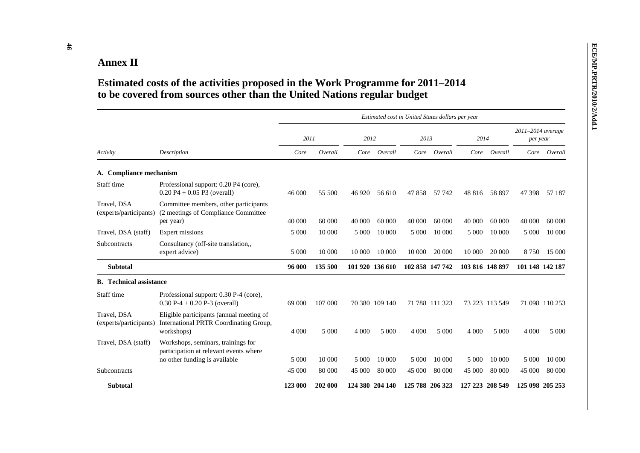| <b>Annex II</b>                       |                                                                                                                                                           |         |         |                 |                |                                                  |                |                 |                |                               |                |
|---------------------------------------|-----------------------------------------------------------------------------------------------------------------------------------------------------------|---------|---------|-----------------|----------------|--------------------------------------------------|----------------|-----------------|----------------|-------------------------------|----------------|
|                                       | Estimated costs of the activities proposed in the Work Programme for 2011–2014<br>to be covered from sources other than the United Nations regular budget |         |         |                 |                |                                                  |                |                 |                |                               |                |
|                                       |                                                                                                                                                           |         |         |                 |                | Estimated cost in United States dollars per year |                |                 |                |                               |                |
|                                       |                                                                                                                                                           | 2011    |         | 2012            |                | 2013                                             |                | 2014            |                | 2011-2014 average<br>per year |                |
| Activity                              | Description                                                                                                                                               | Core    | Overall | Core            | Overall        | Core                                             | Overall        |                 | Core Overall   |                               | Core Overall   |
| A. Compliance mechanism               |                                                                                                                                                           |         |         |                 |                |                                                  |                |                 |                |                               |                |
| Staff time                            | Professional support: 0.20 P4 (core),<br>$0.20 P4 + 0.05 P3$ (overall)                                                                                    | 46 000  | 55 500  | 46 9 20         | 56 610         | 47 858                                           | 57 742         | 48 816          | 58 897         | 47 398                        | 57 187         |
| Travel, DSA<br>(experts/participants) | Committee members, other participants<br>(2 meetings of Compliance Committee)<br>per year)                                                                | 40 000  | 60 000  | 40 000          | 60 000         | 40 000                                           | 60 000         | 40 000          | 60 000         | 40 000                        | 60 000         |
| Travel, DSA (staff)                   | Expert missions                                                                                                                                           | 5 000   | 10 000  | 5 0 0 0         | 10 000         | 5 000                                            | 10 000         | 5 0 0 0         | 10 000         | 5 0 0 0                       | 10 000         |
| Subcontracts                          | Consultancy (off-site translation,,<br>expert advice)                                                                                                     | 5 0 0 0 | 10 000  | 10 000          | 10 000         | 10 000                                           | 20 000         | 10 000          | 20 000         | 8 7 5 0                       | 15 000         |
| <b>Subtotal</b>                       |                                                                                                                                                           | 96 000  | 135 500 | 101 920 136 610 |                | 102 858 147 742                                  |                | 103 816 148 897 |                | 101 148 142 187               |                |
| <b>B.</b> Technical assistance        |                                                                                                                                                           |         |         |                 |                |                                                  |                |                 |                |                               |                |
| Staff time                            | Professional support: 0.30 P-4 (core),<br>$0.30$ P-4 + 0.20 P-3 (overall)                                                                                 | 69 000  | 107 000 |                 | 70 380 109 140 |                                                  | 71 788 111 323 |                 | 73 223 113 549 |                               | 71 098 110 253 |
| Travel. DSA<br>(experts/participants) | Eligible participants (annual meeting of<br>International PRTR Coordinating Group,<br>workshops)                                                          | 4 0 0 0 | 5 0 0 0 | 4 0 0 0         | 5 0 0 0        | 4 0 0 0                                          | 5 0 0 0        | 4 0 0 0         | 5 0 0 0        | 4 0 0 0                       | 5 0 0 0        |
| Travel, DSA (staff)                   | Workshops, seminars, trainings for<br>participation at relevant events where<br>no other funding is available                                             | 5 0 0 0 | 10 000  | 5 0 0 0         | 10 000         | 5 0 0 0                                          | 10 000         | 5 0 0 0         | 10 000         | 5 0 0 0                       | 10 000         |
| Subcontracts                          |                                                                                                                                                           | 45 000  | 80 000  | 45 000          | 80 000         | 45 000                                           | 80 000         | 45 000          | 80 000         | 45 000                        | 80 000         |
| <b>Subtotal</b>                       |                                                                                                                                                           | 123 000 | 202 000 | 124 380 204 140 |                | 125 788 206 323                                  |                | 127 223 208 549 |                | 125 098 205 253               |                |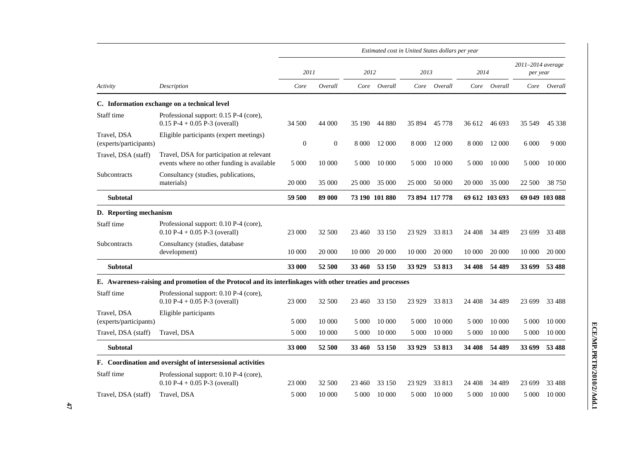|                                       |                                                                                                            | Estimated cost in United States dollars per year |              |               |                |         |                |         |                |                               |                |
|---------------------------------------|------------------------------------------------------------------------------------------------------------|--------------------------------------------------|--------------|---------------|----------------|---------|----------------|---------|----------------|-------------------------------|----------------|
|                                       |                                                                                                            | 2011                                             |              | 2012          |                | 2013    |                | 2014    |                | 2011-2014 average<br>per year |                |
| Activity                              | Description                                                                                                | Core                                             | Overall      |               | Core Overall   |         | Core Overall   |         | Core Overall   |                               | Core Overall   |
|                                       | C. Information exchange on a technical level                                                               |                                                  |              |               |                |         |                |         |                |                               |                |
| Staff time                            | Professional support: 0.15 P-4 (core),<br>$0.15$ P-4 + 0.05 P-3 (overall)                                  | 34 500                                           | 44 000       | 35 190        | 44 880         | 35 894  | 45 778         | 36 612  | 46 693         | 35 549                        | 45 338         |
| Travel, DSA<br>(experts/participants) | Eligible participants (expert meetings)                                                                    | $\mathbf{0}$                                     | $\mathbf{0}$ |               | 8 000 12 000   | 8 0 0 0 | 12 000         | 8 0 0 0 | 12 000         | 6 0 0 0                       | 9 0 0 0        |
| Travel, DSA (staff)                   | Travel, DSA for participation at relevant<br>events where no other funding is available                    | 5 000                                            | 10 000       | 5 0 0 0       | 10 000         | 5 0 0 0 | 10 000         | 5 0 0 0 | 10 000         | 5 0 0 0                       | 10 000         |
| Subcontracts                          | Consultancy (studies, publications,<br>materials)                                                          | 20 000                                           | 35 000       | 25 000        | 35 000         | 25 000  | 50 000         | 20 000  | 35 000         | 22 500                        | 38 750         |
| <b>Subtotal</b>                       |                                                                                                            | 59 500                                           | 89 000       |               | 73 190 101 880 |         | 73 894 117 778 |         | 69 612 103 693 |                               | 69 049 103 088 |
| D. Reporting mechanism                |                                                                                                            |                                                  |              |               |                |         |                |         |                |                               |                |
| Staff time                            | Professional support: 0.10 P-4 (core),<br>$0.10 P-4 + 0.05 P-3$ (overall)                                  | 23 000                                           | 32 500       | 23 460        | 33 150         | 23 9 29 | 33 813         | 24 408  | 34 4 89        | 23 699                        | 33 4 88        |
| Subcontracts                          | Consultancy (studies, database<br>development)                                                             | 10 000                                           | 20 000       | 10 000        | 20 000         | 10 000  | 20 000         | 10 000  | 20 000         | 10 000                        | 20 000         |
| <b>Subtotal</b>                       |                                                                                                            | 33 000                                           | 52 500       | <b>33 460</b> | 53 150         | 33 9 29 | 53 813         | 34 408  | 54 489         | 33 699                        | 53 488         |
|                                       | E. Awareness-raising and promotion of the Protocol and its interlinkages with other treaties and processes |                                                  |              |               |                |         |                |         |                |                               |                |
| Staff time                            | Professional support: 0.10 P-4 (core),<br>$0.10 P-4 + 0.05 P-3$ (overall)                                  | 23 000                                           | 32 500       | 23 460        | 33 150         | 23 9 29 | 33 813         | 24 408  | 34 4 89        | 23 699                        | 33 4 88        |
| Travel, DSA<br>(experts/participants) | Eligible participants                                                                                      | 5 0 0 0                                          | 10 000       | 5 0 0 0       | 10 000         | 5 0 0 0 | 10 000         | 5 0 0 0 | 10 000         | 5 0 0 0                       | 10 000         |
| Travel, DSA (staff)                   | Travel, DSA                                                                                                | 5 000                                            | 10 000       | 5 0 0 0       | 10 000         | 5 0 0 0 | 10 000         | 5 000   | 10 000         | 5 000                         | 10 000         |
| <b>Subtotal</b>                       |                                                                                                            | 33 000                                           | 52 500       | 33 460        | 53 150         | 33 9 29 | 53 813         | 34 408  | 54 489         | 33 699                        | 53 488         |
|                                       | F. Coordination and oversight of intersessional activities                                                 |                                                  |              |               |                |         |                |         |                |                               |                |
| Staff time                            | Professional support: 0.10 P-4 (core),<br>$0.10 P-4 + 0.05 P-3$ (overall)                                  | 23 000                                           | 32 500       | 23 460        | 33 150         | 23 9 29 | 33 813         | 24 408  | 34 4 89        | 23 699                        | 33 4 88        |
| Travel, DSA (staff)                   | Travel, DSA                                                                                                | 5 0 0 0                                          | 10 000       | 5 0 0 0       | 10 000         | 5 0 0 0 | 10 000         | 5 0 0 0 | 10 000         | 5 0 0 0                       | 10 000         |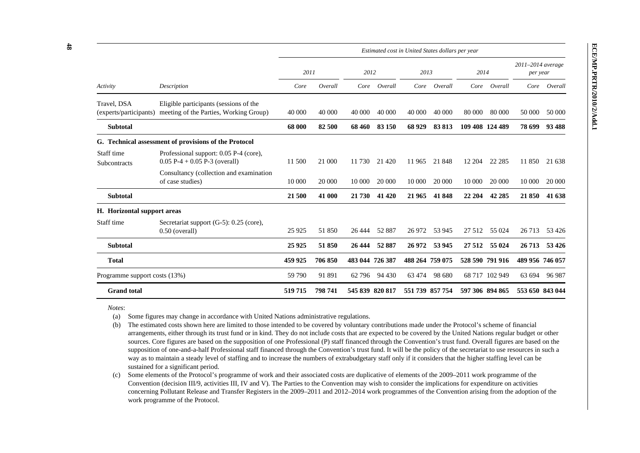| Activity                      | Description                                                                                             | Estimated cost in United States dollars per year |         |                 |         |                 |         |         |                 |                               |               |
|-------------------------------|---------------------------------------------------------------------------------------------------------|--------------------------------------------------|---------|-----------------|---------|-----------------|---------|---------|-----------------|-------------------------------|---------------|
|                               |                                                                                                         | 2011                                             |         | 2012            |         | 2013            |         | 2014    |                 | 2011-2014 average<br>per year |               |
|                               |                                                                                                         | Core                                             | Overall | Core            | Overall | Core            | Overall | Core    | Overall         |                               | Core Overall  |
| Travel, DSA                   | Eligible participants (sessions of the<br>(experts/participants) meeting of the Parties, Working Group) | 40 000                                           | 40 000  | 40 000          | 40 000  | 40 000          | 40 000  | 80 000  | 80 000          | 50 000                        | 50 000        |
| <b>Subtotal</b>               |                                                                                                         | 68 000                                           | 82 500  | 68 460          | 83 150  | 68 9 29         | 83 813  |         | 109 408 124 489 | 78 699                        | 93 488        |
|                               | G. Technical assessment of provisions of the Protocol                                                   |                                                  |         |                 |         |                 |         |         |                 |                               |               |
| Staff time<br>Subcontracts    | Professional support: 0.05 P-4 (core),<br>$0.05 P-4 + 0.05 P-3$ (overall)                               | 11 500                                           | 21 000  | 11 730          | 21 4 20 | 11965           | 21 848  | 12 204  | 22 2 85         | 11 850                        | 21 638        |
|                               | Consultancy (collection and examination<br>of case studies)                                             | 10 000                                           | 20 000  | 10 000          | 20 000  | 10 000          | 20 000  | 10 000  | 20 000          | 10 000                        | 20 000        |
| <b>Subtotal</b>               |                                                                                                         | 21 500                                           | 41 000  | 21 730          | 41 4 20 | 21 965          | 41848   | 22 204  | 42 285          | 21 850                        | 41 638        |
| H. Horizontal support areas   |                                                                                                         |                                                  |         |                 |         |                 |         |         |                 |                               |               |
| Staff time                    | Secretariat support (G-5): 0.25 (core),<br>$0.50$ (overall)                                             | 25 9 25                                          | 51 850  | 26 4 44         | 52 887  | 26 972          | 53 945  | 27 5 12 | 55 024          | 26 7 13                       | 53 4 26       |
| <b>Subtotal</b>               |                                                                                                         | 25 9 25                                          | 51850   | 26 4 44         | 52 887  | 26 972          | 53 945  | 27 5 12 | 55 024          | 26 713                        | 53 4 26       |
| <b>Total</b>                  |                                                                                                         | 459 925                                          | 706 850 | 483 044 726 387 |         | 488 264 759 075 |         |         | 528 590 791 916 | 489 956 746 057               |               |
| Programme support costs (13%) |                                                                                                         | 59 790                                           | 91 891  | 62 796          | 94 430  | 63 474          | 98 680  |         | 68 717 102 949  |                               | 63 694 96 987 |
| <b>Grand</b> total            |                                                                                                         | 519 715                                          | 798 741 | 545 839 820 817 |         | 551 739 857 754 |         |         | 597 306 894 865 | 553 650 843 044               |               |

 *Notes*:

(a) Some figures may change in accordance with United Nations administrative regulations.

 (b) The estimated costs shown here are limited to those intended to be covered by voluntary contributions made under the Protocol's scheme of financial arrangements, either through its trust fund or in kind. They do not include costs that are expected to be covered by the United Nations regular budget or other sources. Core figures are based on the supposition of one Professional (P) staff financed through the Convention's trust fund. Overall figures are based on the supposition of one-and-a-half Professional staff financed through the Convention's trust fund. It will be the policy of the secretariat to use resources in such a way as to maintain a steady level of staffing and to increase the numbers of extrabudgetary staff only if it considers that the higher staffing level can be sustained for a significant period.

 (c) Some elements of the Protocol's programme of work and their associated costs are duplicative of elements of the 2009–2011 work programme of the Convention (decision III/9, activities III, IV and V). The Parties to the Convention may wish to consider the implications for expenditure on activities concerning Pollutant Release and Transfer Registers in the 2009–2011 and 2012–2014 work programmes of the Convention arising from the adoption of the work programme of the Protocol.